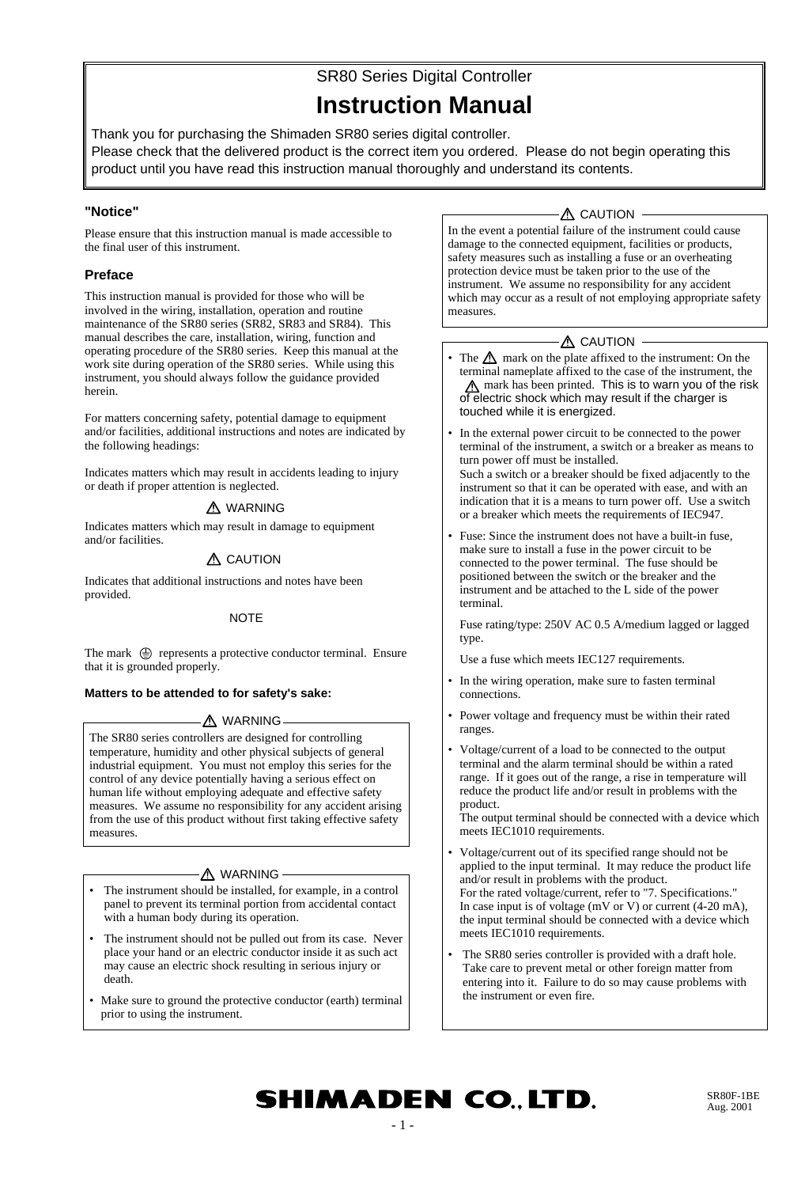# SR80 Series Digital Controller

## **Instruction Manual**

Thank you for purchasing the Shimaden SR80 series digital controller. Please check that the delivered product is the correct item you ordered. Please do not begin operating this product until you have read this instruction manual thoroughly and understand its contents.

## **"Notice"**

Please ensure that this instruction manual is made accessible to the final user of this instrument.

## **Preface**

This instruction manual is provided for those who will be involved in the wiring, installation, operation and routine maintenance of the SR80 series (SR82, SR83 and SR84). This manual describes the care, installation, wiring, function and operating procedure of the SR80 series. Keep this manual at the work site during operation of the SR80 series. While using this instrument, you should always follow the guidance provided herein.

For matters concerning safety, potential damage to equipment and/or facilities, additional instructions and notes are indicated by the following headings:

Indicates matters which may result in accidents leading to injury or death if proper attention is neglected.

## A WARNING

Indicates matters which may result in damage to equipment and/or facilities.

## $\triangle$  CAUTION

Indicates that additional instructions and notes have been provided.

## **NOTE**

The mark  $\oplus$  represents a protective conductor terminal. Ensure that it is grounded properly.

## **Matters to be attended to for safety's sake:**

## A WARNING

The SR80 series controllers are designed for controlling temperature, humidity and other physical subjects of general industrial equipment. You must not employ this series for the control of any device potentially having a serious effect on human life without employing adequate and effective safety measures. We assume no responsibility for any accident arising from the use of this product without first taking effective safety measures.

## A WARNING

- The instrument should be installed, for example, in a control panel to prevent its terminal portion from accidental contact with a human body during its operation.
- The instrument should not be pulled out from its case. Never place your hand or an electric conductor inside it as such act may cause an electric shock resulting in serious injury or death.
- Make sure to ground the protective conductor (earth) terminal prior to using the instrument.

## $\triangle$  CAUTION -

In the event a potential failure of the instrument could cause damage to the connected equipment, facilities or products, safety measures such as installing a fuse or an overheating protection device must be taken prior to the use of the instrument. We assume no responsibility for any accident which may occur as a result of not employing appropriate safety measures.

## **A** CAUTION

- The  $\Lambda$  mark on the plate affixed to the instrument: On the terminal nameplate affixed to the case of the instrument, the A mark has been printed. This is to warn you of the risk of electric shock which may result if the charger is touched while it is energized.
- In the external power circuit to be connected to the power terminal of the instrument, a switch or a breaker as means to turn power off must be installed. Such a switch or a breaker should be fixed adjacently to the instrument so that it can be operated with ease, and with an indication that it is a means to turn power off. Use a switch or a breaker which meets the requirements of IEC947.
- Fuse: Since the instrument does not have a built-in fuse, make sure to install a fuse in the power circuit to be connected to the power terminal. The fuse should be positioned between the switch or the breaker and the instrument and be attached to the L side of the power terminal.

Fuse rating/type: 250V AC 0.5 A/medium lagged or lagged type.

Use a fuse which meets IEC127 requirements.

- In the wiring operation, make sure to fasten terminal connections.
- Power voltage and frequency must be within their rated ranges.
- Voltage/current of a load to be connected to the output terminal and the alarm terminal should be within a rated range. If it goes out of the range, a rise in temperature will reduce the product life and/or result in problems with the product.

The output terminal should be connected with a device which meets IEC1010 requirements.

- Voltage/current out of its specified range should not be applied to the input terminal. It may reduce the product life and/or result in problems with the product. For the rated voltage/current, refer to "7. Specifications." In case input is of voltage (mV or V) or current (4-20 mA), the input terminal should be connected with a device which meets IEC1010 requirements.
- The SR80 series controller is provided with a draft hole. Take care to prevent metal or other foreign matter from entering into it. Failure to do so may cause problems with the instrument or even fire.

# **SHIMADEN CO., LTD.**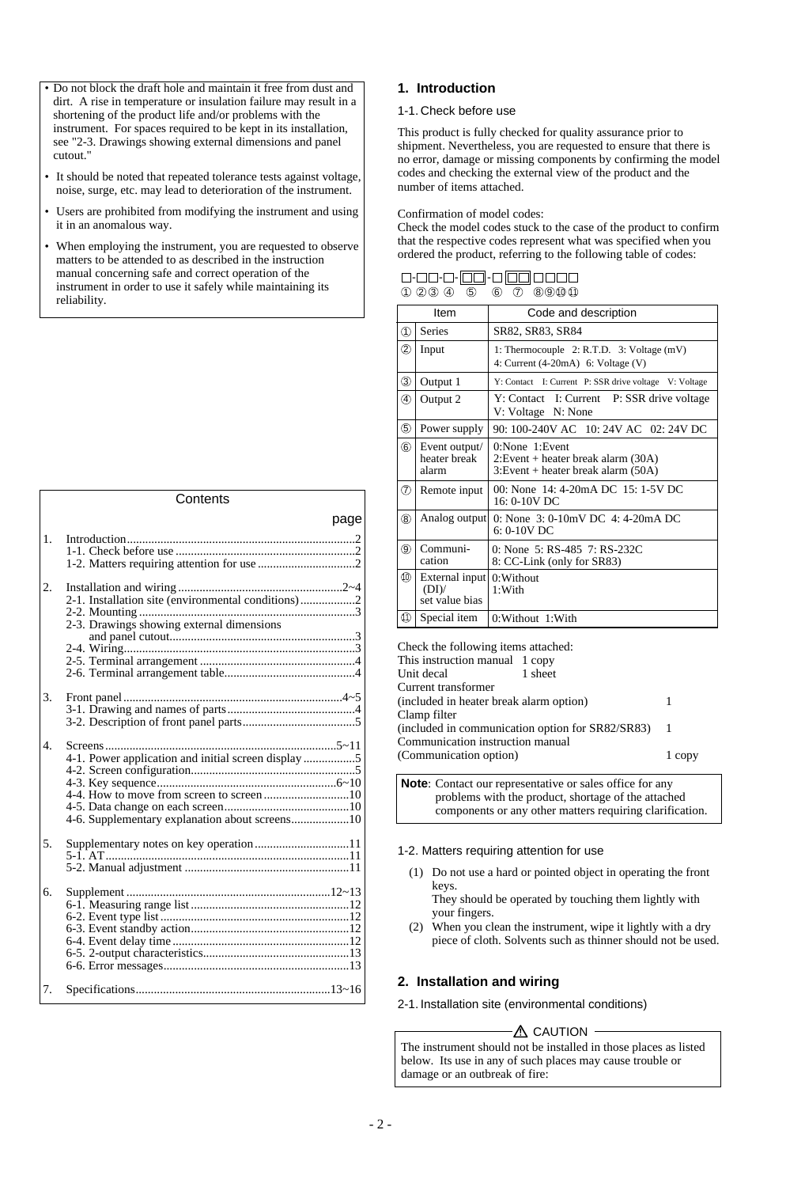- Do not block the draft hole and maintain it free from dust and dirt. A rise in temperature or insulation failure may result in a shortening of the product life and/or problems with the instrument. For spaces required to be kept in its installation, see "2-3. Drawings showing external dimensions and panel cutout."
- It should be noted that repeated tolerance tests against voltage, noise, surge, etc. may lead to deterioration of the instrument.
- Users are prohibited from modifying the instrument and using it in an anomalous way.
- When employing the instrument, you are requested to observe matters to be attended to as described in the instruction manual concerning safe and correct operation of the instrument in order to use it safely while maintaining its reliability.

#### **Contents** page 1. Introduction...........................................................................2 1-1. Check before use ...........................................................2 1-2. Matters requiring attention for use ................................2 2. Installation and wiring ......................................................2~4 2-1. Installation site (environmental conditions)..................2 2-2. Mounting .......................................................................3 2-3. Drawings showing external dimensions and panel cutout.............................................................3 2-4. Wiring............................................................................3 2-5. Terminal arrangement ...................................................4 2-6. Terminal arrangement table...........................................4 3. Front panel ........................................................................4~5 3-1. Drawing and names of parts..........................................4 3-2. Description of front panel parts.....................................5 4. Screens............................................................................5~11 4-1. Power application and initial screen display .................5 4-2. Screen configuration......................................................5 4-3. Key sequence...........................................................6~10 4-4. How to move from screen to screen ............................10 4-5. Data change on each screen.........................................10 4-6. Supplementary explanation about screens...................10 5. Supplementary notes on key operation...............................11 5-1. AT................................................................................11 5-2. Manual adjustment ......................................................11 6. Supplement ...................................................................12~13 6-1. Measuring range list ....................................................12 6-2. Event type list ..............................................................12 6-3. Event standby action....................................................12 6-4. Event delay time ..........................................................12

## 7. Specifications................................................................13~16

6-5. 2-output characteristics................................................13 6-6. Error messages.............................................................13

## **1. Introduction**

#### 1-1. Check before use

This product is fully checked for quality assurance prior to shipment. Nevertheless, you are requested to ensure that there is no error, damage or missing components by confirming the model codes and checking the external view of the product and the number of items attached.

#### Confirmation of model codes:

Check the model codes stuck to the case of the product to confirm that the respective codes represent what was specified when you ordered the product, referring to the following table of codes:

| 0-00-0- <b>00</b> -0 <b>00</b> 0000                         |  |  |
|-------------------------------------------------------------|--|--|
| $(1)$ $(2)$ $(3)$ $(4)$ $(5)$ $(6)$ $(7)$ $(8)$ $(9)$ $(1)$ |  |  |

|                           | Item                                     | Code and description                                                                             |
|---------------------------|------------------------------------------|--------------------------------------------------------------------------------------------------|
| $\textcircled{\small{1}}$ | <b>Series</b>                            | SR82, SR83, SR84                                                                                 |
| ②                         | Input                                    | 1: Thermocouple $2: R.T.D.$ 3: Voltage $(mV)$<br>4: Current $(4-20mA)$ 6: Voltage $(V)$          |
| ③                         | Output 1                                 | Y: Contact I: Current P: SSR drive voltage V: Voltage                                            |
| ④                         | Output 2                                 | Y: Contact I: Current P: SSR drive voltage<br>V: Voltage N: None                                 |
| (5)                       | Power supply                             | 90: 100-240V AC 10: 24V AC 02: 24V DC                                                            |
| $^{\circledR}$            | Event output/<br>heater break<br>alarm   | $0: None$ 1: Event<br>2: Event + heater break alarm (30A)<br>3: Event + heater break alarm (50A) |
| ℗                         | Remote input                             | 00: None 14: 4-20mA DC 15: 1-5V DC<br>16: 0-10V DC                                               |
| $\circledR$               | Analog output                            | 0: None $3:0-10mV$ DC $4:4-20mA$ DC<br>$6: 0-10V$ DC                                             |
| ⊚                         | Communi-<br>cation                       | 0: None 5: RS-485 7: RS-232C<br>8: CC-Link (only for SR83)                                       |
| ⑩                         | External input<br>(DI)<br>set value bias | 0:Without<br>1:With                                                                              |
| ⅏                         | Special item                             | 0: Without 1: With                                                                               |

Check the following items attached: This instruction manual 1 copy<br>Unit decal 1 sheet Unit decal Current transformer (included in heater break alarm option) 1 Clamp filter (included in communication option for SR82/SR83) 1 Communication instruction manual (Communication option) 1 copy

**Note**: Contact our representative or sales office for any problems with the product, shortage of the attached components or any other matters requiring clarification.

1-2. Matters requiring attention for use

(1) Do not use a hard or pointed object in operating the front keys.

They should be operated by touching them lightly with your fingers.

(2) When you clean the instrument, wipe it lightly with a dry piece of cloth. Solvents such as thinner should not be used.

## **2. Installation and wiring**

2-1. Installation site (environmental conditions)

## $-\triangle$  CAUTION -

The instrument should not be installed in those places as listed below. Its use in any of such places may cause trouble or damage or an outbreak of fire: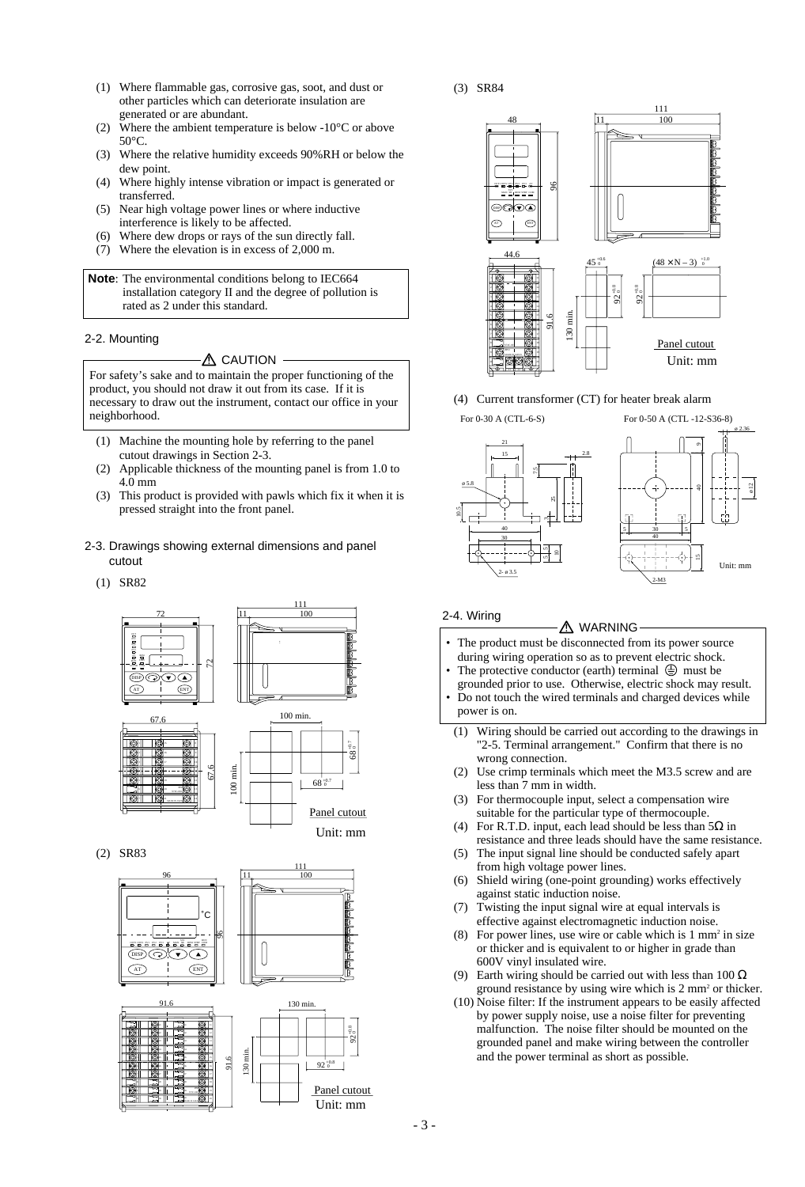- (1) Where flammable gas, corrosive gas, soot, and dust or other particles which can deteriorate insulation are generated or are abundant.
- (2) Where the ambient temperature is below -10 $\degree$ C or above 50°C.
- (3) Where the relative humidity exceeds 90%RH or below the dew point.
- (4) Where highly intense vibration or impact is generated or transferred.
- (5) Near high voltage power lines or where inductive interference is likely to be affected.
- (6) Where dew drops or rays of the sun directly fall.
- (7) Where the elevation is in excess of 2,000 m.

**Note**: The environmental conditions belong to IEC664 installation category II and the degree of pollution is rated as 2 under this standard.

#### 2-2. Mounting

#### A CAUTION

For safety's sake and to maintain the proper functioning of the product, you should not draw it out from its case. If it is necessary to draw out the instrument, contact our office in your neighborhood.

- (1) Machine the mounting hole by referring to the panel cutout drawings in Section 2-3.
- (2) Applicable thickness of the mounting panel is from 1.0 to 4.0 mm
- (3) This product is provided with pawls which fix it when it is pressed straight into the front panel.
- 2-3. Drawings showing external dimensions and panel cutout
	- (1) SR82



(2) SR83





(4) Current transformer (CT) for heater break alarm



### 2-4. Wiring

- The product must be disconnected from its power source  $\triangle$  WARNING -
- during wiring operation so as to prevent electric shock. The protective conductor (earth) terminal  $\bigoplus$  must be
- grounded prior to use. Otherwise, electric shock may result. • Do not touch the wired terminals and charged devices while
- power is on.
	- (1) Wiring should be carried out according to the drawings in "2-5. Terminal arrangement." Confirm that there is no wrong connection.
	- (2) Use crimp terminals which meet the M3.5 screw and are less than 7 mm in width.
	- (3) For thermocouple input, select a compensation wire suitable for the particular type of thermocouple.
	- (4) For R.T.D. input, each lead should be less than  $5\Omega$  in resistance and three leads should have the same resistance.
	- (5) The input signal line should be conducted safely apart from high voltage power lines.
	- (6) Shield wiring (one-point grounding) works effectively against static induction noise.
	- (7) Twisting the input signal wire at equal intervals is effective against electromagnetic induction noise.
	- (8) For power lines, use wire or cable which is  $1 \text{ mm}^2$  in size or thicker and is equivalent to or higher in grade than 600V vinyl insulated wire.
	- (9) Earth wiring should be carried out with less than 100  $\Omega$ ground resistance by using wire which is 2 mm2 or thicker.
	- (10) Noise filter: If the instrument appears to be easily affected by power supply noise, use a noise filter for preventing malfunction. The noise filter should be mounted on the grounded panel and make wiring between the controller and the power terminal as short as possible.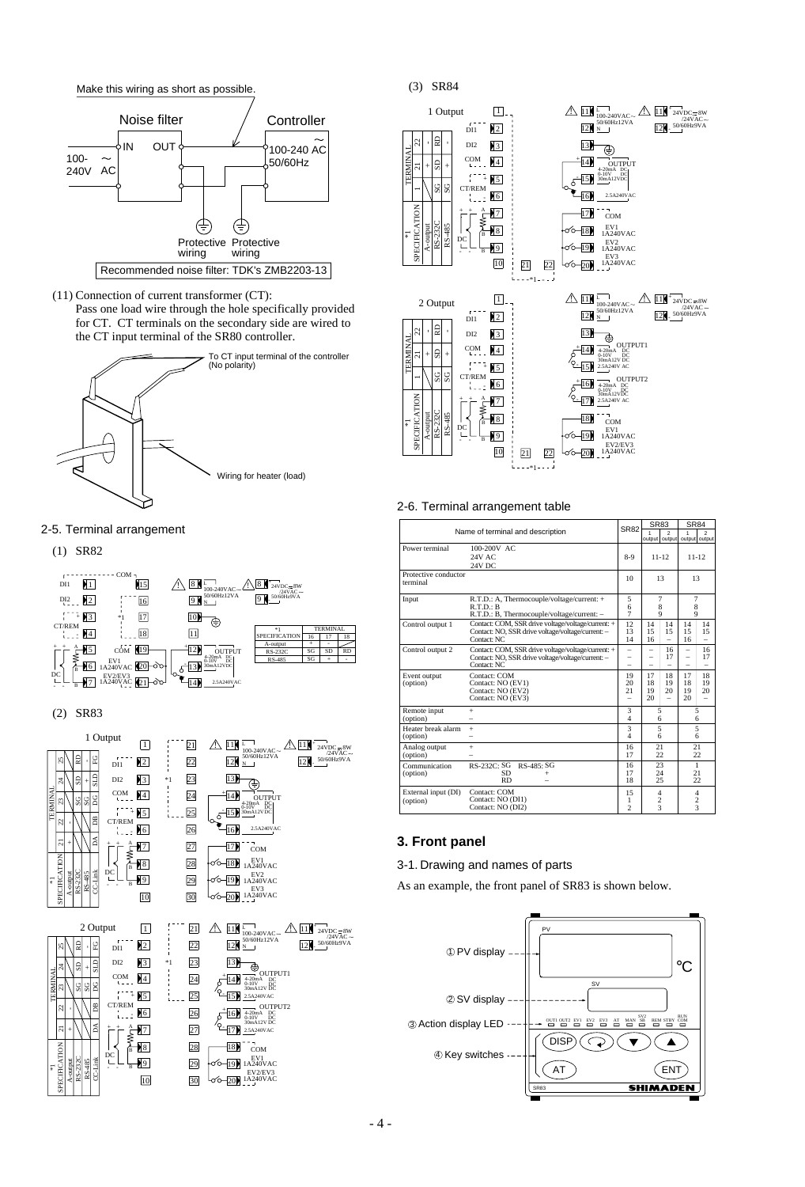

(11) Connection of current transformer (CT):

Pass one load wire through the hole specifically provided for CT. CT terminals on the secondary side are wired to the CT input terminal of the SR80 controller.



#### 2-5. Terminal arrangement

(1) SR82



#### (2) SR83





11 12



#### 2-6. Terminal arrangement table

| TERMINA<br>COM<br>$4^{\circ}$<br><b>OUTPUT</b><br>GS<br>$^{+}$<br>ι.<br>$\overline{\circ}$<br>20mA DC<br>0-10V DC<br>30mA12VDC<br>filia<br>$\blacktriangleright$ 5<br>5)<br>SG<br>SG<br>CT/REM<br>16<br>2.5A240VAC<br>16<br>SPECIFICATION<br>$\sqrt{7}$<br>17)<br>COM<br>RS-232C<br>RS-485<br>EV1<br>1A240VAC<br>A-outpu<br>趸<br>$+8$<br>18<br>¥<br>DC<br>EV <sub>2</sub><br>1A240VAC<br>L<br>$^{19}$<br>B<br>EV3<br>1A240VAC<br>10<br>21<br>22<br>$- - 81 - - - 4$<br>$\triangle \mathbf{H}$ <sub>100</sub><br>$\vert$ 1<br>2 Output<br>100-240VAC~<br>50/60Hz12VA<br>$r -$<br>$\frac{12}{N}$<br>12<br>DI1<br>딣<br>ମ୍ବ<br>13<br>DI <sub>2</sub><br>$\blacksquare$<br>⊕<br>TERMINAL<br>COM<br>$\blacktriangleright$ 4<br>14<br>4-20mA<br>0-10V<br>30mA12V DC<br>S<br>$\overline{1}$<br>ಸ<br>$^{+}$<br>ī,<br>2.5A240V AC<br>$\parallel$ 5<br>15 M<br>SG<br>SG<br>CT/REM<br>16<br>16<br>4-20mA DC<br>0-10V DC<br>30mA12VDC<br>42<br>SPECIFICATION<br>2.5A240V AC<br>17<br>17 <sub>b</sub><br>Ç<br>ą<br>RS-232C<br>RS-485<br>A-output<br>18<br>$\mathbf{H}^8$<br>COM<br>B<br>¥<br>DC<br>EV1<br>1A240VAC<br>U<br>$\sqrt{9}$<br>19.<br>$\overline{\mathbf{B}}$<br>EV2/EV3<br>1A240VAC<br>10<br>21<br>$ 20\rangle$<br>22<br>*1<br>2-6. Terminal arrangement table<br>Name of terminal and description | OUTPUT1<br>OUTPUT2<br><b>SR82</b> | <b>SR83</b>    | 12 <sub>1</sub> | $\triangle$ $11^{\circ}$ 24VDC = 8W<br>$/24$ VAC $\sim$<br>50/60Hz9VA | <b>SR84</b>              |
|-------------------------------------------------------------------------------------------------------------------------------------------------------------------------------------------------------------------------------------------------------------------------------------------------------------------------------------------------------------------------------------------------------------------------------------------------------------------------------------------------------------------------------------------------------------------------------------------------------------------------------------------------------------------------------------------------------------------------------------------------------------------------------------------------------------------------------------------------------------------------------------------------------------------------------------------------------------------------------------------------------------------------------------------------------------------------------------------------------------------------------------------------------------------------------------------------------------------------------------------------------------------------------------------------|-----------------------------------|----------------|-----------------|-----------------------------------------------------------------------|--------------------------|
|                                                                                                                                                                                                                                                                                                                                                                                                                                                                                                                                                                                                                                                                                                                                                                                                                                                                                                                                                                                                                                                                                                                                                                                                                                                                                                 |                                   |                |                 |                                                                       |                          |
|                                                                                                                                                                                                                                                                                                                                                                                                                                                                                                                                                                                                                                                                                                                                                                                                                                                                                                                                                                                                                                                                                                                                                                                                                                                                                                 |                                   |                |                 |                                                                       |                          |
|                                                                                                                                                                                                                                                                                                                                                                                                                                                                                                                                                                                                                                                                                                                                                                                                                                                                                                                                                                                                                                                                                                                                                                                                                                                                                                 |                                   |                |                 |                                                                       |                          |
|                                                                                                                                                                                                                                                                                                                                                                                                                                                                                                                                                                                                                                                                                                                                                                                                                                                                                                                                                                                                                                                                                                                                                                                                                                                                                                 |                                   |                |                 |                                                                       |                          |
|                                                                                                                                                                                                                                                                                                                                                                                                                                                                                                                                                                                                                                                                                                                                                                                                                                                                                                                                                                                                                                                                                                                                                                                                                                                                                                 |                                   |                |                 |                                                                       |                          |
|                                                                                                                                                                                                                                                                                                                                                                                                                                                                                                                                                                                                                                                                                                                                                                                                                                                                                                                                                                                                                                                                                                                                                                                                                                                                                                 |                                   |                |                 |                                                                       |                          |
|                                                                                                                                                                                                                                                                                                                                                                                                                                                                                                                                                                                                                                                                                                                                                                                                                                                                                                                                                                                                                                                                                                                                                                                                                                                                                                 |                                   |                |                 |                                                                       |                          |
|                                                                                                                                                                                                                                                                                                                                                                                                                                                                                                                                                                                                                                                                                                                                                                                                                                                                                                                                                                                                                                                                                                                                                                                                                                                                                                 |                                   |                |                 |                                                                       |                          |
|                                                                                                                                                                                                                                                                                                                                                                                                                                                                                                                                                                                                                                                                                                                                                                                                                                                                                                                                                                                                                                                                                                                                                                                                                                                                                                 |                                   |                |                 |                                                                       |                          |
|                                                                                                                                                                                                                                                                                                                                                                                                                                                                                                                                                                                                                                                                                                                                                                                                                                                                                                                                                                                                                                                                                                                                                                                                                                                                                                 |                                   |                |                 |                                                                       |                          |
|                                                                                                                                                                                                                                                                                                                                                                                                                                                                                                                                                                                                                                                                                                                                                                                                                                                                                                                                                                                                                                                                                                                                                                                                                                                                                                 |                                   |                |                 |                                                                       |                          |
|                                                                                                                                                                                                                                                                                                                                                                                                                                                                                                                                                                                                                                                                                                                                                                                                                                                                                                                                                                                                                                                                                                                                                                                                                                                                                                 |                                   |                |                 |                                                                       |                          |
|                                                                                                                                                                                                                                                                                                                                                                                                                                                                                                                                                                                                                                                                                                                                                                                                                                                                                                                                                                                                                                                                                                                                                                                                                                                                                                 |                                   |                |                 |                                                                       |                          |
|                                                                                                                                                                                                                                                                                                                                                                                                                                                                                                                                                                                                                                                                                                                                                                                                                                                                                                                                                                                                                                                                                                                                                                                                                                                                                                 |                                   |                |                 |                                                                       |                          |
|                                                                                                                                                                                                                                                                                                                                                                                                                                                                                                                                                                                                                                                                                                                                                                                                                                                                                                                                                                                                                                                                                                                                                                                                                                                                                                 |                                   |                |                 |                                                                       |                          |
|                                                                                                                                                                                                                                                                                                                                                                                                                                                                                                                                                                                                                                                                                                                                                                                                                                                                                                                                                                                                                                                                                                                                                                                                                                                                                                 |                                   |                |                 |                                                                       |                          |
|                                                                                                                                                                                                                                                                                                                                                                                                                                                                                                                                                                                                                                                                                                                                                                                                                                                                                                                                                                                                                                                                                                                                                                                                                                                                                                 |                                   |                |                 |                                                                       |                          |
|                                                                                                                                                                                                                                                                                                                                                                                                                                                                                                                                                                                                                                                                                                                                                                                                                                                                                                                                                                                                                                                                                                                                                                                                                                                                                                 |                                   |                | output          |                                                                       | output output            |
| Power terminal<br>100-200V AC<br>24V AC                                                                                                                                                                                                                                                                                                                                                                                                                                                                                                                                                                                                                                                                                                                                                                                                                                                                                                                                                                                                                                                                                                                                                                                                                                                         | $8-9$                             | output         | $11 - 12$       |                                                                       | $11 - 12$                |
| 24V DC<br>Protective conductor                                                                                                                                                                                                                                                                                                                                                                                                                                                                                                                                                                                                                                                                                                                                                                                                                                                                                                                                                                                                                                                                                                                                                                                                                                                                  | 10                                |                | 13              |                                                                       | 13                       |
| terminal<br>R.T.D.: A, Thermocouple/voltage/current: +<br>Input                                                                                                                                                                                                                                                                                                                                                                                                                                                                                                                                                                                                                                                                                                                                                                                                                                                                                                                                                                                                                                                                                                                                                                                                                                 | 5                                 |                | 7               | 7                                                                     |                          |
| R.T.D.: B<br>R.T.D.: B, Thermocouple/voltage/current:                                                                                                                                                                                                                                                                                                                                                                                                                                                                                                                                                                                                                                                                                                                                                                                                                                                                                                                                                                                                                                                                                                                                                                                                                                           | 6<br>7                            |                | 8<br>9          | 9                                                                     | 8                        |
| Contact: COM, SSR drive voltage/voltage/current: +<br>Control output 1<br>Contact: NO, SSR drive voltage/voltage/current: -<br>Contact: NC                                                                                                                                                                                                                                                                                                                                                                                                                                                                                                                                                                                                                                                                                                                                                                                                                                                                                                                                                                                                                                                                                                                                                      | 12<br>13<br>14                    | 14<br>15<br>16 | 14<br>15        | 14<br>15<br>16                                                        | 14<br>15                 |
| Control output 2<br>Contact: COM, SSR drive voltage/voltage/current: +<br>Contact: NO, SSR drive voltage/voltage/current: -                                                                                                                                                                                                                                                                                                                                                                                                                                                                                                                                                                                                                                                                                                                                                                                                                                                                                                                                                                                                                                                                                                                                                                     | -                                 | -              | 16<br>17        | -                                                                     | 16<br>17                 |
| Contact: NC<br>Event output<br>Contact: COM<br>Contact: NO (EV1)<br>(option)                                                                                                                                                                                                                                                                                                                                                                                                                                                                                                                                                                                                                                                                                                                                                                                                                                                                                                                                                                                                                                                                                                                                                                                                                    | 19<br>20                          | 17<br>18       | 18<br>19        | 17<br>18                                                              | 18<br>19                 |
| Contact: NO (EV2)<br>Contact: NO (EV3)                                                                                                                                                                                                                                                                                                                                                                                                                                                                                                                                                                                                                                                                                                                                                                                                                                                                                                                                                                                                                                                                                                                                                                                                                                                          | 21                                | 19<br>20       | 20              | 19<br>20                                                              | 20                       |
| Remote input<br>$^{+}$<br>(option)                                                                                                                                                                                                                                                                                                                                                                                                                                                                                                                                                                                                                                                                                                                                                                                                                                                                                                                                                                                                                                                                                                                                                                                                                                                              | 3<br>4                            | 5              | 6               |                                                                       | 5<br>6                   |
| Heater break alarm<br>$^{+}$<br>(option)                                                                                                                                                                                                                                                                                                                                                                                                                                                                                                                                                                                                                                                                                                                                                                                                                                                                                                                                                                                                                                                                                                                                                                                                                                                        | 3<br>4                            | 5              | 6               |                                                                       | 5<br>6                   |
| Analog output<br>$^{+}$<br>(option)                                                                                                                                                                                                                                                                                                                                                                                                                                                                                                                                                                                                                                                                                                                                                                                                                                                                                                                                                                                                                                                                                                                                                                                                                                                             | 16<br>17                          | 21<br>22       |                 |                                                                       | 21<br>22                 |
| RS-232C: SG<br>RS-485: SG<br>Communication<br>SD<br>(option)<br>$\ddot{}$<br><b>RD</b>                                                                                                                                                                                                                                                                                                                                                                                                                                                                                                                                                                                                                                                                                                                                                                                                                                                                                                                                                                                                                                                                                                                                                                                                          | 16<br>17<br>18                    | 25             | 23<br>24        |                                                                       | $\mathbf{1}$<br>21<br>22 |
| External input (DI)<br>Contact: COM<br>Contact: NO (DI1)<br>(option)                                                                                                                                                                                                                                                                                                                                                                                                                                                                                                                                                                                                                                                                                                                                                                                                                                                                                                                                                                                                                                                                                                                                                                                                                            | 15<br>1                           | 4              | 2               |                                                                       | 4<br>2                   |
| Contact: NO (DI2)                                                                                                                                                                                                                                                                                                                                                                                                                                                                                                                                                                                                                                                                                                                                                                                                                                                                                                                                                                                                                                                                                                                                                                                                                                                                               | 2                                 |                | 3               |                                                                       | 3                        |

## **3. Front panel**

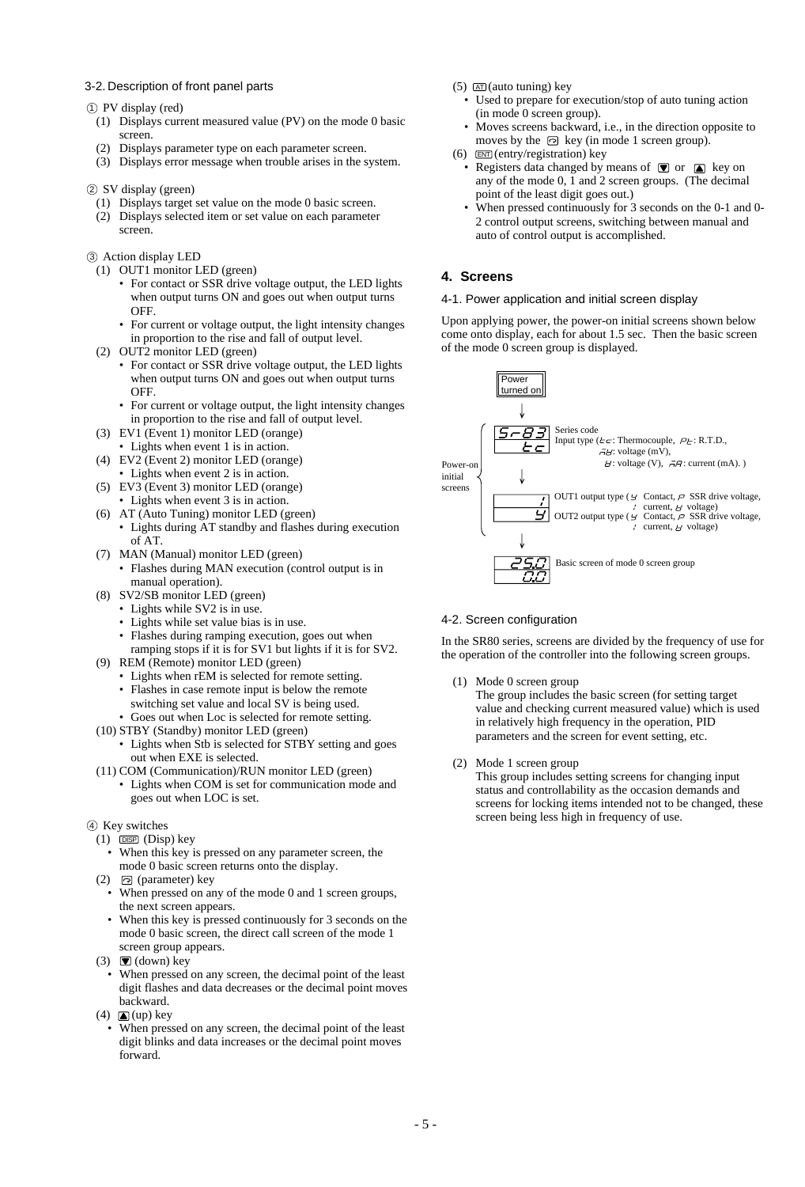#### 3-2. Description of front panel parts

#### PV display (red) 1

- (1) Displays current measured value (PV) on the mode 0 basic screen.
- (2) Displays parameter type on each parameter screen.
- (3) Displays error message when trouble arises in the system.

#### 2 SV display (green)

- (1) Displays target set value on the mode 0 basic screen.
- (2) Displays selected item or set value on each parameter screen.
- 3 Action display LED
	- (1) OUT1 monitor LED (green)
		- For contact or SSR drive voltage output, the LED lights when output turns ON and goes out when output turns OFF.
		- For current or voltage output, the light intensity changes in proportion to the rise and fall of output level.
	- (2) OUT2 monitor LED (green)
		- For contact or SSR drive voltage output, the LED lights when output turns ON and goes out when output turns OFF.
		- For current or voltage output, the light intensity changes in proportion to the rise and fall of output level.
	- (3) EV1 (Event 1) monitor LED (orange)
	- Lights when event 1 is in action.
	- (4) EV2 (Event 2) monitor LED (orange) • Lights when event 2 is in action.
	- (5) EV3 (Event 3) monitor LED (orange)
		- Lights when event 3 is in action.
	- (6) AT (Auto Tuning) monitor LED (green) • Lights during AT standby and flashes during execution of AT.
	- (7) MAN (Manual) monitor LED (green)
	- Flashes during MAN execution (control output is in manual operation).
	- (8) SV2/SB monitor LED (green)
		- Lights while SV2 is in use.
		- Lights while set value bias is in use.
		- Flashes during ramping execution, goes out when
	- ramping stops if it is for SV1 but lights if it is for SV2. (9) REM (Remote) monitor LED (green)
		- Lights when rEM is selected for remote setting.
		- Flashes in case remote input is below the remote switching set value and local SV is being used.
		- Goes out when Loc is selected for remote setting.
	- (10) STBY (Standby) monitor LED (green)
		- Lights when Stb is selected for STBY setting and goes out when EXE is selected.
	- (11) COM (Communication)/RUN monitor LED (green) • Lights when COM is set for communication mode and goes out when LOC is set.
- 
- 4) Key switches  $(1)$   $\Box$ SP  $(Disp)$  key
	- When this key is pressed on any parameter screen, the mode 0 basic screen returns onto the display.
- (2) (parameter) key
- When pressed on any of the mode 0 and 1 screen groups, the next screen appears.
- When this key is pressed continuously for 3 seconds on the mode 0 basic screen, the direct call screen of the mode 1 screen group appears.
- (3)  $\bullet$  (down) key
- When pressed on any screen, the decimal point of the least digit flashes and data decreases or the decimal point moves backward.
- (4)  $\Box$  (up) key
	- When pressed on any screen, the decimal point of the least digit blinks and data increases or the decimal point moves forward.
- $(5)$   $AT$  (auto tuning) key
	- Used to prepare for execution/stop of auto tuning action (in mode 0 screen group).
	- Moves screens backward, i.e., in the direction opposite to moves by the  $\odot$  key (in mode 1 screen group).
- $(6)$   $\overline{\text{EMT}}$  (entry/registration) key
	- Registers data changed by means of  $\blacksquare$  or  $\blacksquare$  key on any of the mode 0, 1 and 2 screen groups. (The decimal point of the least digit goes out.)
	- When pressed continuously for 3 seconds on the 0-1 and 0-2 control output screens, switching between manual and auto of control output is accomplished.

### **4. Screens**

#### 4-1. Power application and initial screen display

Upon applying power, the power-on initial screens shown below come onto display, each for about 1.5 sec. Then the basic screen of the mode 0 screen group is displayed.



#### 4-2. Screen configuration

In the SR80 series, screens are divided by the frequency of use for the operation of the controller into the following screen groups.

(1) Mode 0 screen group

The group includes the basic screen (for setting target value and checking current measured value) which is used in relatively high frequency in the operation, PID parameters and the screen for event setting, etc.

(2) Mode 1 screen group

This group includes setting screens for changing input status and controllability as the occasion demands and screens for locking items intended not to be changed, these screen being less high in frequency of use.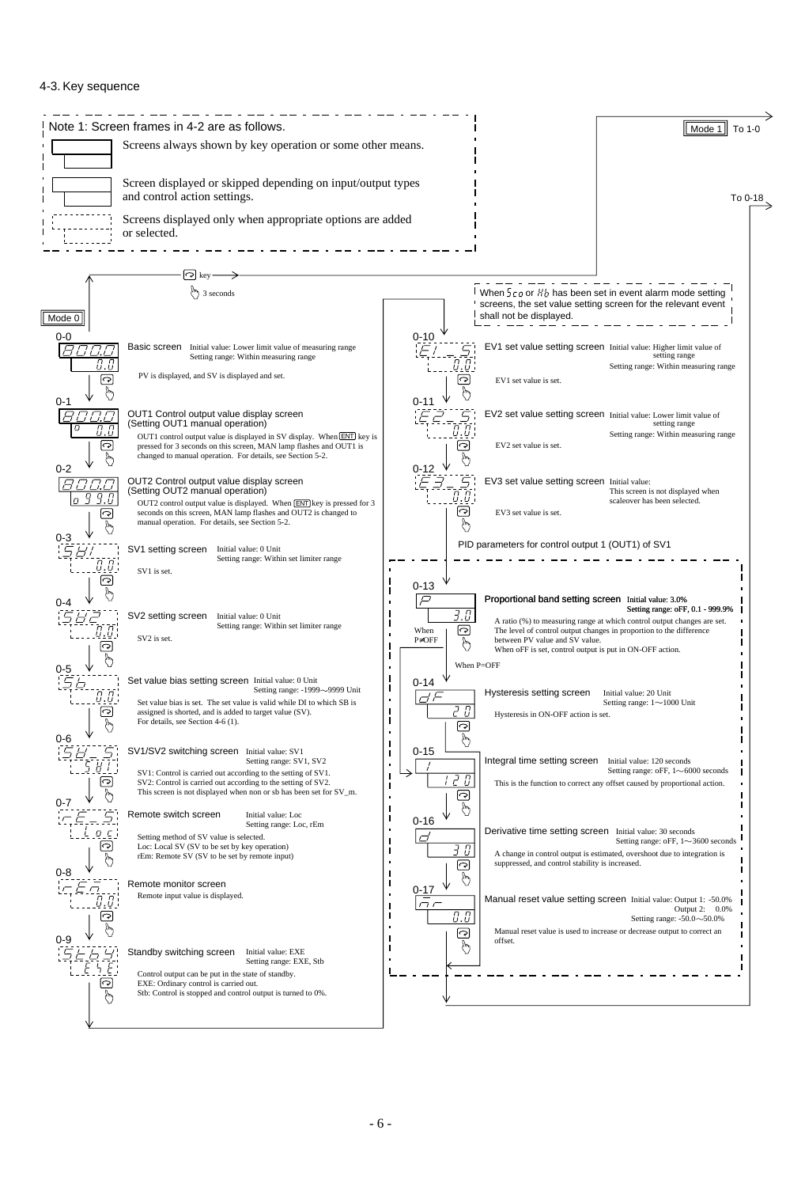#### 4-3. Key sequence

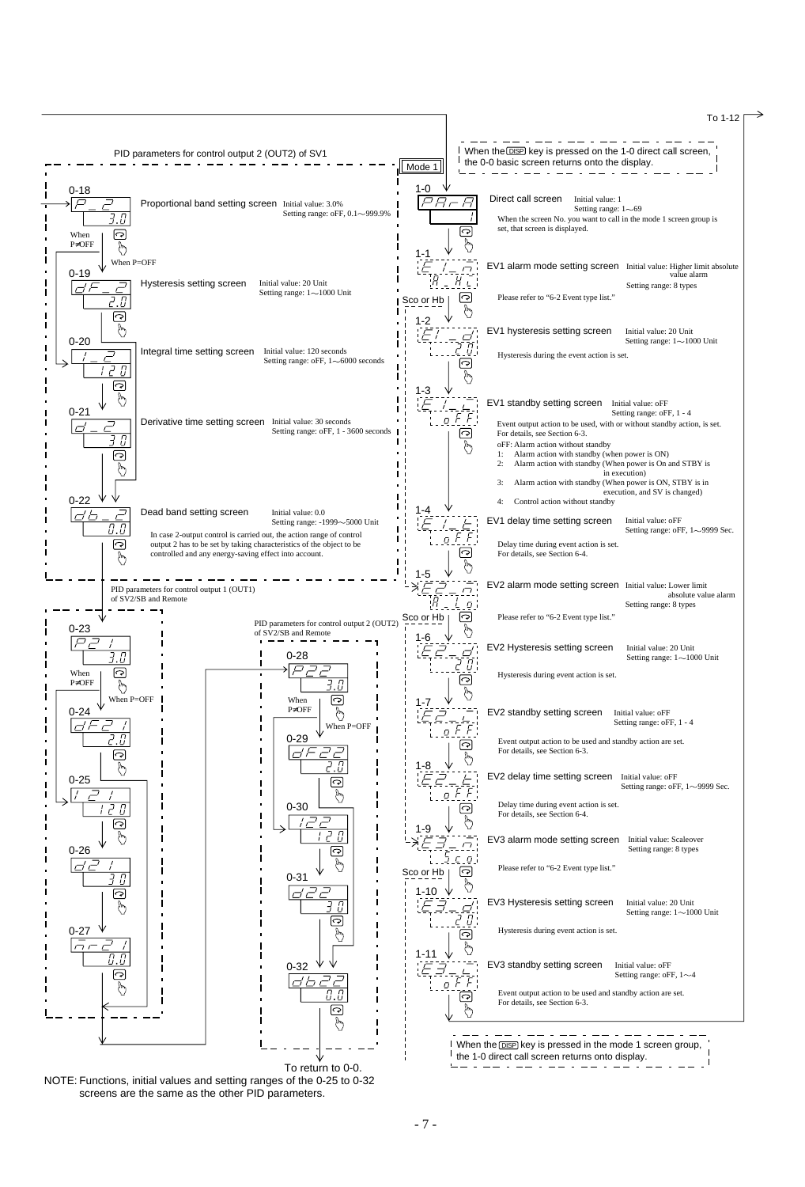

NOTE: Functions, initial values and setting ranges of the 0-25 to 0-32 screens are the same as the other PID parameters.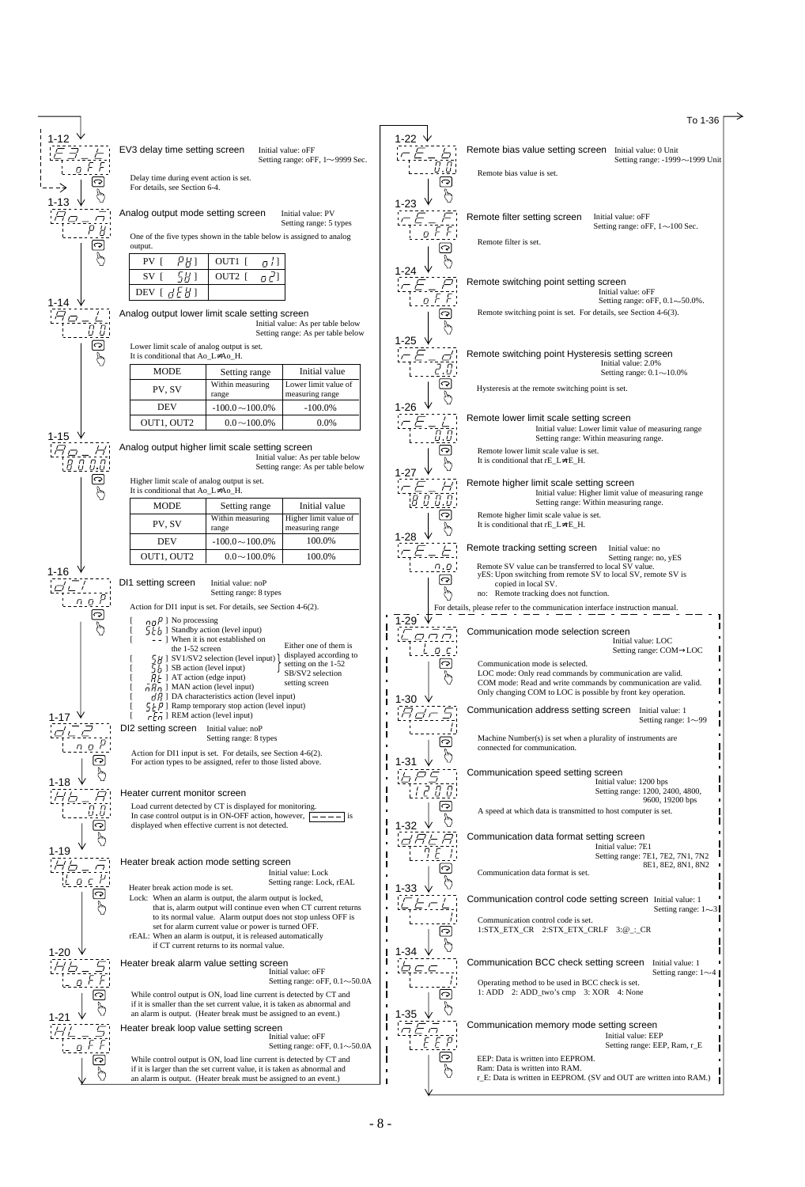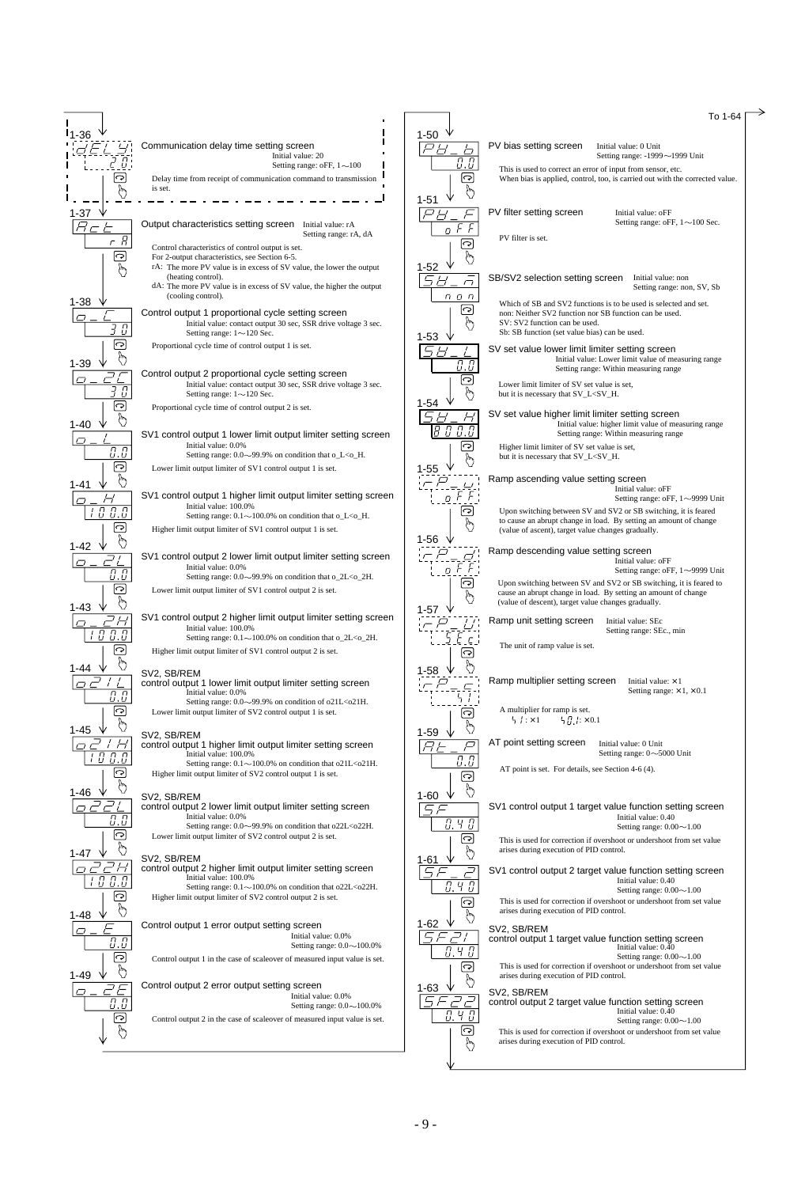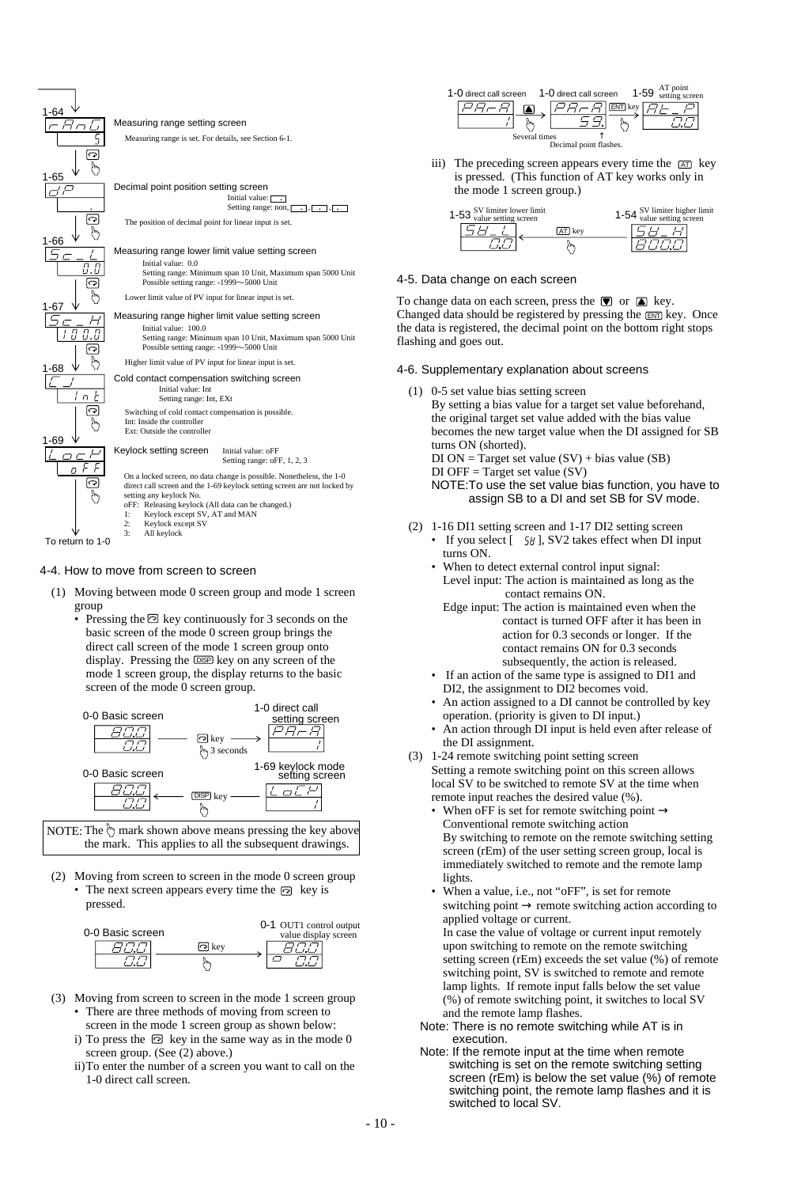

#### 4-4. How to move from screen to screen

- (1) Moving between mode 0 screen group and mode 1 screen group
	- Pressing the  $\odot$  key continuously for 3 seconds on the basic screen of the mode 0 screen group brings the direct call screen of the mode 1 screen group onto display. Pressing the DSP key on any screen of the mode 1 screen group, the display returns to the basic screen of the mode 0 screen group.



NOTE: The  $\Diamond$  mark shown above means pressing the key above the mark. This applies to all the subsequent drawings.

(2) Moving from screen to screen in the mode 0 screen group • The next screen appears every time the  $\odot$  key is pressed.



- (3) Moving from screen to screen in the mode 1 screen group • There are three methods of moving from screen to
	- screen in the mode 1 screen group as shown below: i) To press the  $\odot$  key in the same way as in the mode 0 screen group. (See (2) above.)
	- ii)To enter the number of a screen you want to call on the 1-0 direct call screen.

| 1-0 direct call screen 1-0 direct call screen | $1 - 59$                                                   | AT point<br>setting screen |
|-----------------------------------------------|------------------------------------------------------------|----------------------------|
| Several times                                 | <b>ENT</b> key<br>$H$ H $\prime$<br>Decimal point flashes. |                            |

iii) The preceding screen appears every time the  $\overline{A}$  key is pressed. (This function of AT key works only in the mode 1 screen group.)

| 1-53 SV limiter lower limit<br>value setting screen |     | 1-54 SV limiter higher limit<br>value setting screen |
|-----------------------------------------------------|-----|------------------------------------------------------|
|                                                     | kev |                                                      |
|                                                     |     |                                                      |

### 4-5. Data change on each screen

To change data on each screen, press the  $\blacksquare$  or  $\blacksquare$  key. Changed data should be registered by pressing the **ENT** key. Once the data is registered, the decimal point on the bottom right stops flashing and goes out.

### 4-6. Supplementary explanation about screens

(1) 0-5 set value bias setting screen

By setting a bias value for a target set value beforehand, the original target set value added with the bias value becomes the new target value when the DI assigned for SB turns ON (shorted).  $DI ON = Target set value (SV) + bias value (SB)$  $DI$  OFF = Target set value (SV)

NOTE:To use the set value bias function, you have to assign SB to a DI and set SB for SV mode.

- (2) 1-16 DI1 setting screen and 1-17 DI2 setting screen • If you select  $[-58]$ , SV2 takes effect when DI input turns ON.
	- When to detect external control input signal: Level input: The action is maintained as long as the contact remains ON.
		- Edge input: The action is maintained even when the contact is turned OFF after it has been in action for 0.3 seconds or longer. If the contact remains ON for 0.3 seconds subsequently, the action is released.
	- If an action of the same type is assigned to DI1 and DI2, the assignment to DI2 becomes void.
	- An action assigned to a DI cannot be controlled by key operation. (priority is given to DI input.)
	- An action through DI input is held even after release of the DI assignment.
- (3) 1-24 remote switching point setting screen Setting a remote switching point on this screen allows local SV to be switched to remote SV at the time when remote input reaches the desired value (%).
	- When oFF is set for remote switching point  $\rightarrow$ Conventional remote switching action By switching to remote on the remote switching setting screen (rEm) of the user setting screen group, local is immediately switched to remote and the remote lamp lights.
	- When a value, i.e., not "oFF", is set for remote switching point  $\rightarrow$  remote switching action according to applied voltage or current. In case the value of voltage or current input remotely upon switching to remote on the remote switching setting screen (rEm) exceeds the set value (%) of remote switching point, SV is switched to remote and remote lamp lights. If remote input falls below the set value (%) of remote switching point, it switches to local SV and the remote lamp flashes.
	- Note: There is no remote switching while AT is in execution.
	- Note: If the remote input at the time when remote switching is set on the remote switching setting screen (rEm) is below the set value (%) of remote switching point, the remote lamp flashes and it is switched to local SV.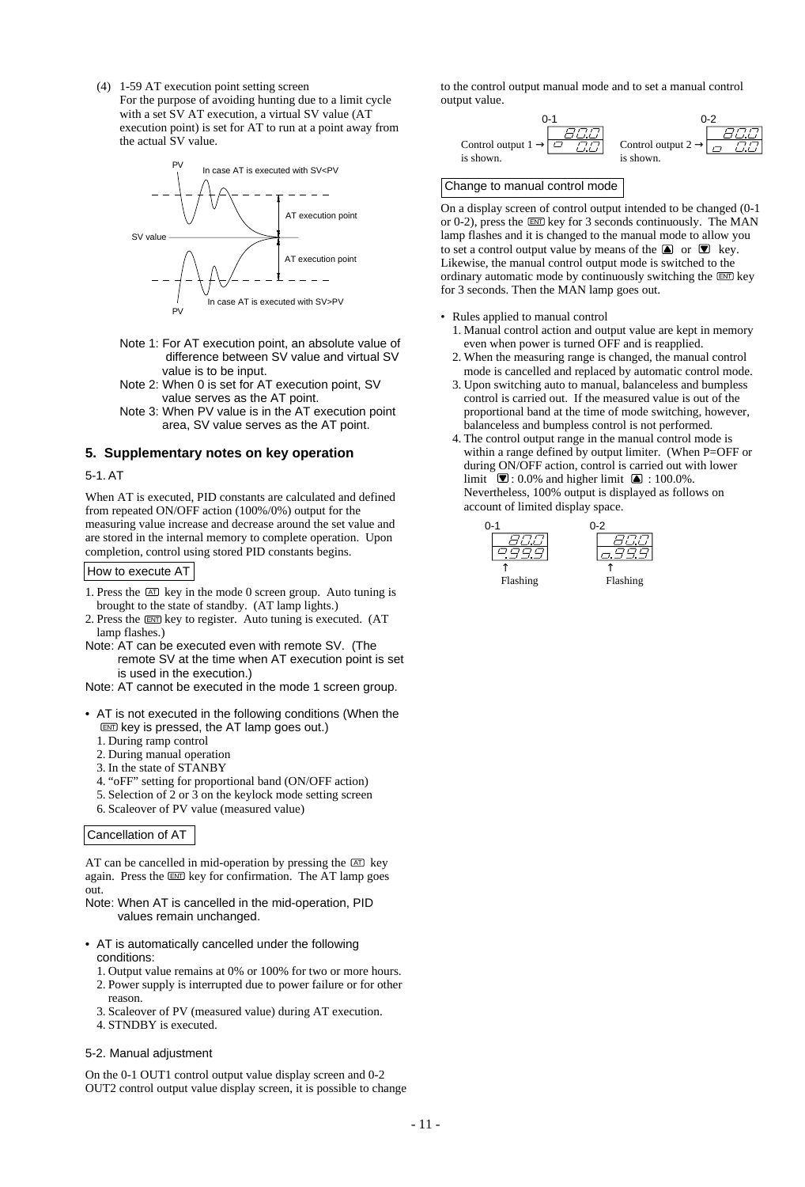(4) 1-59 AT execution point setting screen For the purpose of avoiding hunting due to a limit cycle with a set SV AT execution, a virtual SV value (AT execution point) is set for AT to run at a point away from the actual SV value.



- Note 1: For AT execution point, an absolute value of difference between SV value and virtual SV value is to be input.
- Note 2: When 0 is set for AT execution point, SV value serves as the AT point.
- Note 3: When PV value is in the AT execution point area, SV value serves as the AT point.

#### **5. Supplementary notes on key operation**

#### 5-1. AT

When AT is executed, PID constants are calculated and defined from repeated ON/OFF action (100%/0%) output for the measuring value increase and decrease around the set value and are stored in the internal memory to complete operation. Upon completion, control using stored PID constants begins.

How to execute AT

- 1. Press the  $[AT]$  key in the mode 0 screen group. Auto tuning is brought to the state of standby. (AT lamp lights.)
- 2. Press the ENT key to register. Auto tuning is executed. (AT lamp flashes.)
- Note: AT can be executed even with remote SV. (The remote SV at the time when AT execution point is set is used in the execution.)
- Note: AT cannot be executed in the mode 1 screen group.
- AT is not executed in the following conditions (When the ENT key is pressed, the AT lamp goes out.)
	- 1. During ramp control
	- 2. During manual operation
	- 3. In the state of STANBY
	- 4. "oFF" setting for proportional band (ON/OFF action)
	- 5. Selection of 2 or 3 on the keylock mode setting screen
	- 6. Scaleover of PV value (measured value)

#### Cancellation of AT

AT can be cancelled in mid-operation by pressing the  $[AT]$  key again. Press the ENT key for confirmation. The AT lamp goes out.

Note: When AT is cancelled in the mid-operation, PID values remain unchanged.

- AT is automatically cancelled under the following conditions:
	- 1. Output value remains at 0% or 100% for two or more hours.
	- 2. Power supply is interrupted due to power failure or for other reason.
	- 3. Scaleover of PV (measured value) during AT execution.
	- 4. STNDBY is executed.

#### 5-2. Manual adjustment

On the 0-1 OUT1 control output value display screen and 0-2 OUT2 control output value display screen, it is possible to change to the control output manual mode and to set a manual control output value.



#### Change to manual control mode

On a display screen of control output intended to be changed (0-1 or 0-2), press the  $\overline{EM}$  key for 3 seconds continuously. The MAN lamp flashes and it is changed to the manual mode to allow you to set a control output value by means of the  $\Box$  or  $\Box$  key. Likewise, the manual control output mode is switched to the ordinary automatic mode by continuously switching the  $\overline{em}$  key for 3 seconds. Then the MAN lamp goes out.

- Rules applied to manual control
	- 1. Manual control action and output value are kept in memory even when power is turned OFF and is reapplied.
	- 2. When the measuring range is changed, the manual control mode is cancelled and replaced by automatic control mode.
	- 3. Upon switching auto to manual, balanceless and bumpless control is carried out. If the measured value is out of the proportional band at the time of mode switching, however, balanceless and bumpless control is not performed.
	- 4. The control output range in the manual control mode is within a range defined by output limiter. (When P=OFF or during ON/OFF action, control is carried out with lower limit  $\overline{\bullet}$ : 0.0% and higher limit  $\overline{\bullet}$ : 100.0%. Nevertheless, 100% output is displayed as follows on account of limited display space.



Flashing

Flashing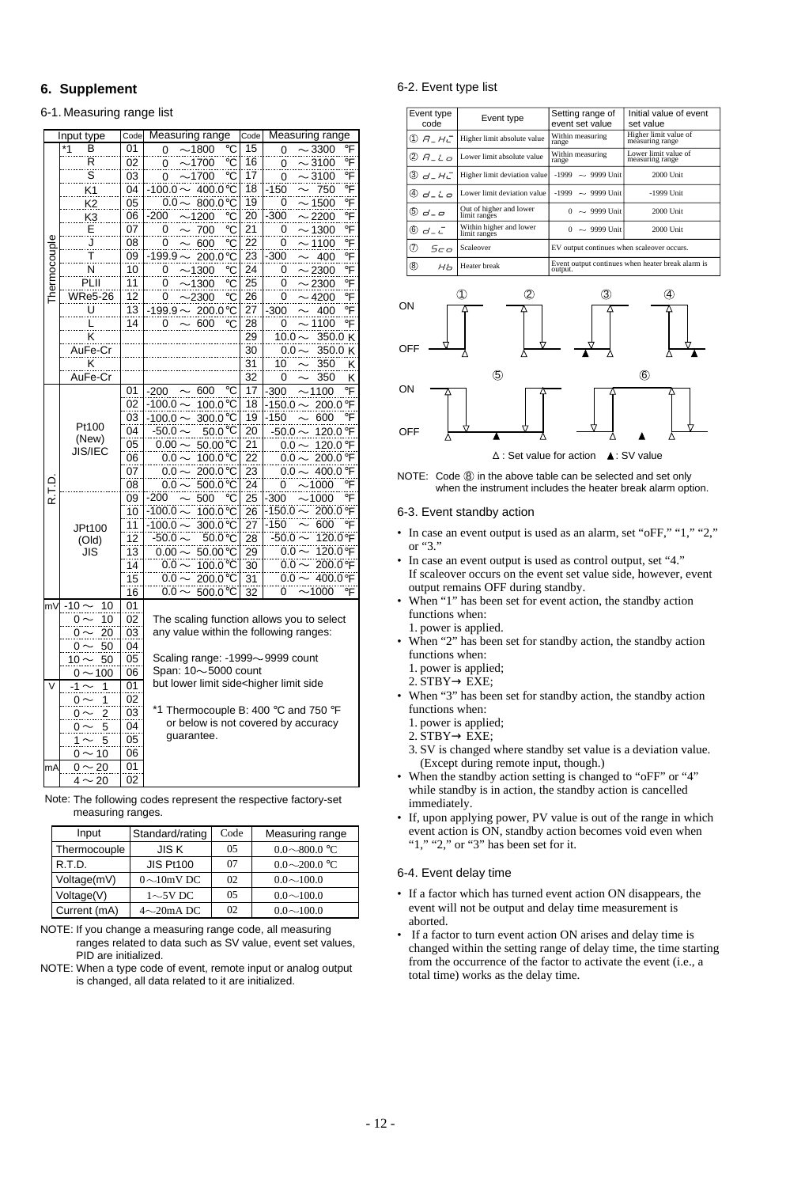## **6. Supplement**

#### 6-1. Measuring range list

|                         | Input type                   | Code            | Measuring range                                                                  | Code                       | Measuring range                     |
|-------------------------|------------------------------|-----------------|----------------------------------------------------------------------------------|----------------------------|-------------------------------------|
|                         | *1<br>В                      | 01              | -1800<br>°C<br>0                                                                 | 15                         | °F<br>3300<br>0                     |
|                         | R                            | $\overline{02}$ | -1700<br>0<br>°C                                                                 | 16                         | °F<br>$-3100$<br>0                  |
|                         | Ŝ                            | 03              | $-1700$<br>°C<br>0                                                               | 17                         | $-3100$<br>0                        |
|                         | K <sub>1</sub>               | 04              | $-100.0 -$<br>400.0°C                                                            | 18                         | ……<br>∘F<br>$-150$<br>750           |
|                         | K <sub>2</sub>               | 05              | $0.0 -$<br>$-800.0$ °C                                                           | 19                         | $\overline{F}$<br>$-1500$<br>0      |
|                         | K <sub>3</sub>               | 06              | -200<br>$-1200$<br>°C                                                            | 20                         | $-300$<br>$-2200$<br>°F             |
|                         | Е                            | 07              | 700<br>0                                                                         | 21                         | $-1300$<br>$\overline{F}$           |
|                         | J                            | 08              | ℃<br>်င                                                                          | $\overline{2}\overline{2}$ | 0<br>°F                             |
|                         | Ŧ                            |                 | 600<br>0                                                                         |                            | $-1100$<br>0                        |
|                         |                              | 09              | $-199.9 -$<br>200.0°C                                                            | $\overline{23}$            | $-300$<br>400<br>°F                 |
|                         | N                            | 10              | 0<br>$-1300$<br>°C                                                               | $\overline{24}$            | °F<br>$-2300$<br>0                  |
| Thermocouple            | PLII                         | $\overline{11}$ | $-1300$<br>0<br>°C<br>$\hat{\phantom{1}}$                                        | 25                         | $\sim$ 2300<br>°F<br>0              |
|                         | <b>WRe5-26</b>               | $\overline{12}$ | $-2300$<br>°C<br>0                                                               | 26                         | $-4200$<br>°F<br>0                  |
|                         | U                            | 13              | $-200.0^{\circ}$ C<br>$-199.9 -$                                                 | 27                         | $-300$<br>400<br>°F                 |
|                         | L                            | 14              | 600<br>°C<br>0                                                                   | 28                         | - 1100<br>°F<br>0                   |
|                         | K                            |                 |                                                                                  | 29                         | $10.0 -$<br>350.0 K                 |
|                         | AuFe-Cr                      |                 |                                                                                  | $\overline{30}$            | 350.0 K<br>$0.0 \cdot$              |
|                         | K                            |                 |                                                                                  | $\overline{31}$            | 10<br>350<br>Κ                      |
|                         | AuFe-Cr                      |                 |                                                                                  | 32                         | 350<br>Κ<br>0                       |
|                         |                              | 01              | 600<br>°C                                                                        | 17                         | °F                                  |
|                         |                              |                 | -200                                                                             |                            | $-300$<br>$-1100$                   |
|                         |                              | 02              | 100.0°C<br>$-100.0 \sim$                                                         | 18                         | $-150.0$<br>200.0°F                 |
|                         | Pt100                        | 03              | -100.0 $\sim$<br>300.0°C                                                         | 19                         | $-150$<br>°F<br>600                 |
|                         | (New)                        | 04              | $-50.0 -$<br>$50.0\,^{\circ}\text{C}$                                            | 20                         | 120.0 °F<br>$-50.0 -$               |
|                         | <b>JIS/IEC</b>               | 05              | $0.00 -$<br>50.00°C                                                              | $\overline{21}$            | 120.0 °F<br>$0.0 -$                 |
|                         |                              | 06              | $0.0 \sim$<br>100.0°C                                                            | $\overline{22}$            | 200.0°F<br>0.0 $\sim$               |
|                         |                              | 07              | $0.0 -$<br>200.0°C                                                               | $\overline{23}$            | 400.0 °F<br>$0.0 -$                 |
| R.T.D.                  |                              | 08              | $0.0 -$<br>500.0°C                                                               | $\overline{24}$            | $-1000$<br>°F<br>0                  |
|                         |                              | 09              | 500<br>$-200$<br>℃                                                               | $\overline{25}$            | -300<br>-1000<br>°F                 |
|                         |                              | 10              | $-100.0$ -<br>$100.0$ °C                                                         | 26                         | <br>200.0°F<br>$-150.0$             |
|                         |                              | 11              | $-100.0 \times$<br>300.0°C                                                       | 27                         | $-150$<br>600<br>°F                 |
|                         | JPt100                       | 12              | $-50.0 \times$<br>$50.0^{\circ}$ C                                               | 28                         | $-50.0$<br>120.0°F                  |
|                         | (Old)                        | $\overline{13}$ |                                                                                  | 29                         | 120.0 °F<br>0.0 <sub>1</sub>        |
|                         | JIS                          |                 | $0.00 \sim$<br>50.00°C                                                           |                            | $\frac{5.6}{0.0}$ ~<br>200.0°F      |
|                         |                              | 14              | $0.0 \sim$<br>$100.0^{\circ}$ C                                                  | $\overline{30}$            |                                     |
|                         |                              | $\overline{15}$ | $0.0 -$<br>$200.0^{\circ}$ C                                                     | 31                         | 400.0°F<br>$0.0 \cdot$              |
|                         |                              | 16              | $0.0 -$<br>$500.0$ °C                                                            | 32                         | $-1000$<br>0<br>$\circ$ F           |
| mV                      | -10 $\sim$<br>10             | $\overline{01}$ |                                                                                  |                            |                                     |
|                         | 10<br>0                      | 02              | The scaling function allows you to select                                        |                            |                                     |
|                         | 20<br>$0 \frown$             | 03              | any value within the following ranges:                                           |                            |                                     |
|                         | 50<br>0                      | 04              |                                                                                  |                            |                                     |
|                         | $10 \sim$<br>50              | 05              | Scaling range: $-1999 - 9999$ count                                              |                            |                                     |
|                         | 0 $\sim$ 100                 | 06              | Span: $10\nightharpoonup 5000$ count                                             |                            |                                     |
| $\overline{\mathsf{v}}$ | -1<br>1                      | 01              | but lower limit side <higher limit="" side<="" td=""><td></td><td></td></higher> |                            |                                     |
|                         |                              | 02              |                                                                                  |                            |                                     |
|                         | 1<br>0 ·                     |                 | *1 Thermocouple B: 400 °C and 750 °F                                             |                            |                                     |
|                         | $\overline{\mathbf{c}}$<br>0 | 03              |                                                                                  |                            | or below is not covered by accuracy |
|                         | 5<br>0 -                     | 04              | guarantee.                                                                       |                            |                                     |
|                         | 5<br>1                       | 05              |                                                                                  |                            |                                     |
|                         | 0 $\sim$ 10                  | 06              |                                                                                  |                            |                                     |
| mA                      | $-20$<br>$0 \sim$            | 01              |                                                                                  |                            |                                     |
|                         | $4 \sim 20$                  | 02              |                                                                                  |                            |                                     |

| Note: The following codes represent the respective factory-set |
|----------------------------------------------------------------|
| measuring ranges.                                              |

| Input        | Standard/rating  | Code     | Measuring range     |
|--------------|------------------|----------|---------------------|
| Thermocouple | JIS K            | 0.5      | $0.0 \sim 800.0$ °C |
| R.T.D.       | <b>JIS Pt100</b> | 07       | $0.0 \sim 200.0$ °C |
| Voltage(mV)  | $0\sim10$ mV DC  | $\Omega$ | $0.0 \sim 100.0$    |
| Voltage(V)   | $1\sim$ 5V DC    | 0.5      | $0.0 \sim 100.0$    |
| Current (mA) | $4\sim20$ mADC   | 02       | $0.0 \sim 100.0$    |

NOTE: If you change a measuring range code, all measuring ranges related to data such as SV value, event set values, PID are initialized.

NOTE: When a type code of event, remote input or analog output is changed, all data related to it are initialized.

#### 6-2. Event type list

| Event type<br>code      | Event type                              | Setting range of<br>event set value                          | Initial value of event<br>set value      |  |  |  |
|-------------------------|-----------------------------------------|--------------------------------------------------------------|------------------------------------------|--|--|--|
| O)<br>$A$ $H$ $\subset$ | Higher limit absolute value             | Within measuring<br>range                                    | Higher limit value of<br>measuring range |  |  |  |
| 2 A_L a                 | Lower limit absolute value              | Within measuring<br>range                                    | Lower limit value of<br>measuring range  |  |  |  |
| டு <i>ப_ பட</i> ்       | Higher limit deviation value            | $-1999$<br>$\sim$ 9999 Unit                                  | 2000 Unit                                |  |  |  |
| $\omega_{d-L}$          | Lower limit deviation value             | -1999<br>$\sim$ 9999 Unit                                    | -1999 Unit                               |  |  |  |
| $\circledcirc$ d = a    | Out of higher and lower<br>limit ranges | $^{\circ}$<br>$\sim$ 9999 Unit                               | 2000 Unit                                |  |  |  |
| 6<br>$d - \bar{c}$      | Within higher and lower<br>limit ranges | $\Omega$<br>$\sim$ 9999 Unit                                 | 2000 Unit                                |  |  |  |
| (7)<br>5 <sub>CD</sub>  | Scaleover                               | EV output continues when scaleover occurs.                   |                                          |  |  |  |
| ⑧<br>HЬ                 | Heater break                            | Event output continues when heater break alarm is<br>output. |                                          |  |  |  |



NOTE: Code  $\circledS$  in the above table can be selected and set only when the instrument includes the heater break alarm option.

#### 6-3. Event standby action

- In case an event output is used as an alarm, set "oFF," "1," "2," or "3."
- In case an event output is used as control output, set "4." If scaleover occurs on the event set value side, however, event output remains OFF during standby.
- When "1" has been set for event action, the standby action functions when:
	- 1. power is applied.
- When "2" has been set for standby action, the standby action functions when:
- 1. power is applied;
- $2.\overrightarrow{STBY} \rightarrow \overrightarrow{EXE};$
- When "3" has been set for standby action, the standby action functions when:
	- 1. power is applied;
	- $2.\overline{STBY} \rightarrow \overline{EXE};$
	- 3. SV is changed where standby set value is a deviation value. (Except during remote input, though.)
- When the standby action setting is changed to "oFF" or "4" while standby is in action, the standby action is cancelled immediately.
- If, upon applying power, PV value is out of the range in which event action is ON, standby action becomes void even when " $1$ ," " $2$ ," or " $3$ " has been set for it.

#### 6-4. Event delay time

- If a factor which has turned event action ON disappears, the event will not be output and delay time measurement is aborted.
- If a factor to turn event action ON arises and delay time is changed within the setting range of delay time, the time starting from the occurrence of the factor to activate the event (i.e., a total time) works as the delay time.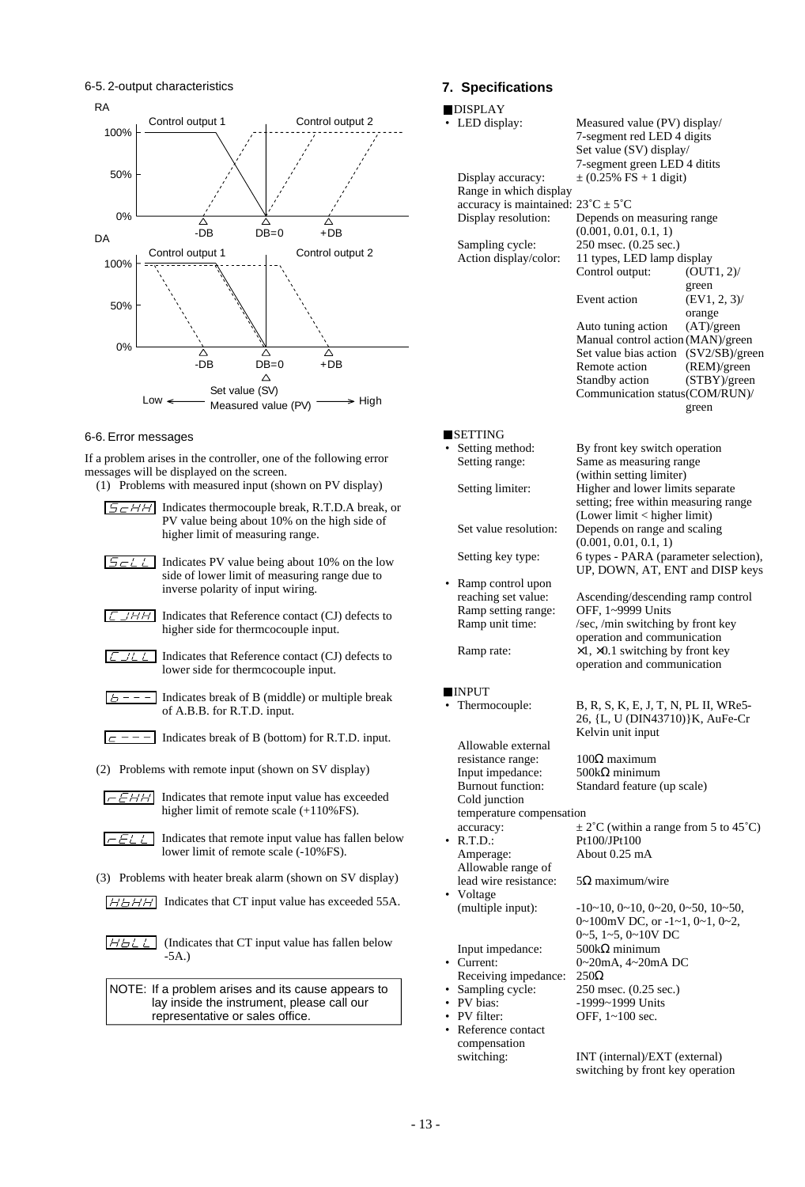6-5. 2-output characteristics



#### 6-6. Error messages

If a problem arises in the controller, one of the following error messages will be displayed on the screen.

- (1) Problems with measured input (shown on PV display)
- $5$ c $HH$ Indicates thermocouple break, R.T.D.A break, or PV value being about 10% on the high side of higher limit of measuring range. Indicates PV value being about 10% on the low  $5 - L$ side of lower limit of measuring range due to inverse polarity of input wiring.  $LJHH$ Indicates that Reference contact (CJ) defects to higher side for thermcocouple input.  $LJLL$ Indicates that Reference contact (CJ) defects to lower side for thermcocouple input. Indicates break of B (middle) or multiple break  $b = -1$ of A.B.B. for R.T.D. input.  $\boxed{c$  - - - Indicates break of B (bottom) for R.T.D. input. (2) Problems with remote input (shown on SV display)  $F \rightarrow E H H$  Indicates that remote input value has exceeded higher limit of remote scale (+110%FS).  $FELL$ Indicates that remote input value has fallen below lower limit of remote scale (-10%FS). (3) Problems with heater break alarm (shown on SV display)  $H<sub>B</sub>H<sub>H</sub>$  Indicates that CT input value has exceeded 55A.  $HbL$  (Indicates that CT input value has fallen below -5A.)

NOTE: If a problem arises and its cause appears to lay inside the instrument, please call our representative or sales office.

## **7. Specifications**

#### Ï

| <b>DISPLAY</b>                                       |                                                                |                 |
|------------------------------------------------------|----------------------------------------------------------------|-----------------|
| LED display:                                         | Measured value (PV) display/                                   |                 |
|                                                      | 7-segment red LED 4 digits                                     |                 |
|                                                      | Set value (SV) display/                                        |                 |
|                                                      | 7-segment green LED 4 ditits                                   |                 |
| Display accuracy:                                    | $\pm$ (0.25% FS + 1 digit)                                     |                 |
| Range in which display                               |                                                                |                 |
| accuracy is maintained: $23^{\circ}C \pm 5^{\circ}C$ |                                                                |                 |
| Display resolution:                                  | Depends on measuring range                                     |                 |
|                                                      | (0.001, 0.01, 0.1, 1)                                          |                 |
| Sampling cycle:                                      | 250 msec. (0.25 sec.)                                          |                 |
| Action display/color:                                | 11 types, LED lamp display                                     |                 |
|                                                      | Control output:                                                | $(OUT1, 2)$ /   |
|                                                      |                                                                | green           |
|                                                      | Event action                                                   | $(EV1, 2, 3)$ / |
|                                                      |                                                                | orange          |
|                                                      | Auto tuning action                                             | (AT)/green      |
|                                                      | Manual control action (MAN)/green                              |                 |
|                                                      | Set value bias action (SV2/SB)/green                           |                 |
|                                                      | Remote action                                                  | (REM)/green     |
|                                                      | Standby action                                                 | (STBY)/green    |
|                                                      | Communication status(COM/RUN)/                                 |                 |
|                                                      |                                                                | green           |
|                                                      |                                                                |                 |
| <b>SETTING</b>                                       |                                                                |                 |
| Setting method:                                      | By front key switch operation                                  |                 |
| Setting range:                                       | Same as measuring range                                        |                 |
|                                                      | (within setting limiter)                                       |                 |
| Setting limiter:                                     | Higher and lower limits separate                               |                 |
|                                                      | setting; free within measuring range                           |                 |
|                                                      | (Lower limit < higher limit)                                   |                 |
| Set value resolution:                                | Depends on range and scaling                                   |                 |
|                                                      | (0.001, 0.01, 0.1, 1)                                          |                 |
| Setting key type:                                    | 6 types - PARA (parameter selection),                          |                 |
|                                                      | UP, DOWN, AT, ENT and DISP keys                                |                 |
| • Ramp control upon                                  |                                                                |                 |
| reaching set value:                                  | Ascending/descending ramp control                              |                 |
| Ramp setting range:                                  | OFF, 1~9999 Units                                              |                 |
| Ramp unit time:                                      | /sec, /min switching by front key                              |                 |
|                                                      | operation and communication                                    |                 |
| Ramp rate:                                           | $\times 1$ , $\times 0.1$ switching by front key               |                 |
|                                                      | operation and communication                                    |                 |
|                                                      |                                                                |                 |
| <b>INPUT</b>                                         |                                                                |                 |
| • Thermocouple:                                      | B, R, S, K, E, J, T, N, PL II, WRe5-                           |                 |
|                                                      | 26, {L, U (DIN43710)} K, AuFe-Cr                               |                 |
|                                                      | Kelvin unit input                                              |                 |
| Allowable external                                   |                                                                |                 |
| resistance range:                                    | $100Ω$ maximum                                                 |                 |
| Input impedance:                                     | $500k\Omega$ minimum                                           |                 |
| Burnout function:                                    | Standard feature (up scale)                                    |                 |
| Cold junction                                        |                                                                |                 |
| temperature compensation                             |                                                                |                 |
| accuracy:                                            | $\pm 2^{\circ}$ C (within a range from 5 to 45°C)              |                 |
| $\cdot$ R.T.D.:                                      | Pt100/JPt100                                                   |                 |
| Amperage:                                            | About 0.25 mA                                                  |                 |
| Allowable range of                                   |                                                                |                 |
| lead wire resistance:                                | $5\Omega$ maximum/wire                                         |                 |
| Voltage                                              |                                                                |                 |
| (multiple input):                                    | $-10$ ~10, 0~10, 0~20, 0~50, 10~50,                            |                 |
|                                                      | $0 \sim 100$ mV DC, or $-1 \sim 1$ , $0 \sim 1$ , $0 \sim 2$ , |                 |
|                                                      | $0-5$ , $1-5$ , $0-10V$ DC                                     |                 |
| Input impedance:                                     | $500\mathrm{k}\Omega$ minimum                                  |                 |
| • Current:                                           | $0 \sim 20$ mA, $4 \sim 20$ mA DC                              |                 |
| Receiving impedance:                                 | $250\Omega$                                                    |                 |
| · Sampling cycle:<br>• PV bias:                      | 250 msec. (0.25 sec.)                                          |                 |
|                                                      | -1999~1999 Units                                               |                 |
| • PV filter:                                         | OFF, 1~100 sec.                                                |                 |
| • Reference contact                                  |                                                                |                 |
| compensation                                         |                                                                |                 |
| switching:                                           | INT (internal)/EXT (external)                                  |                 |

switching by front key operation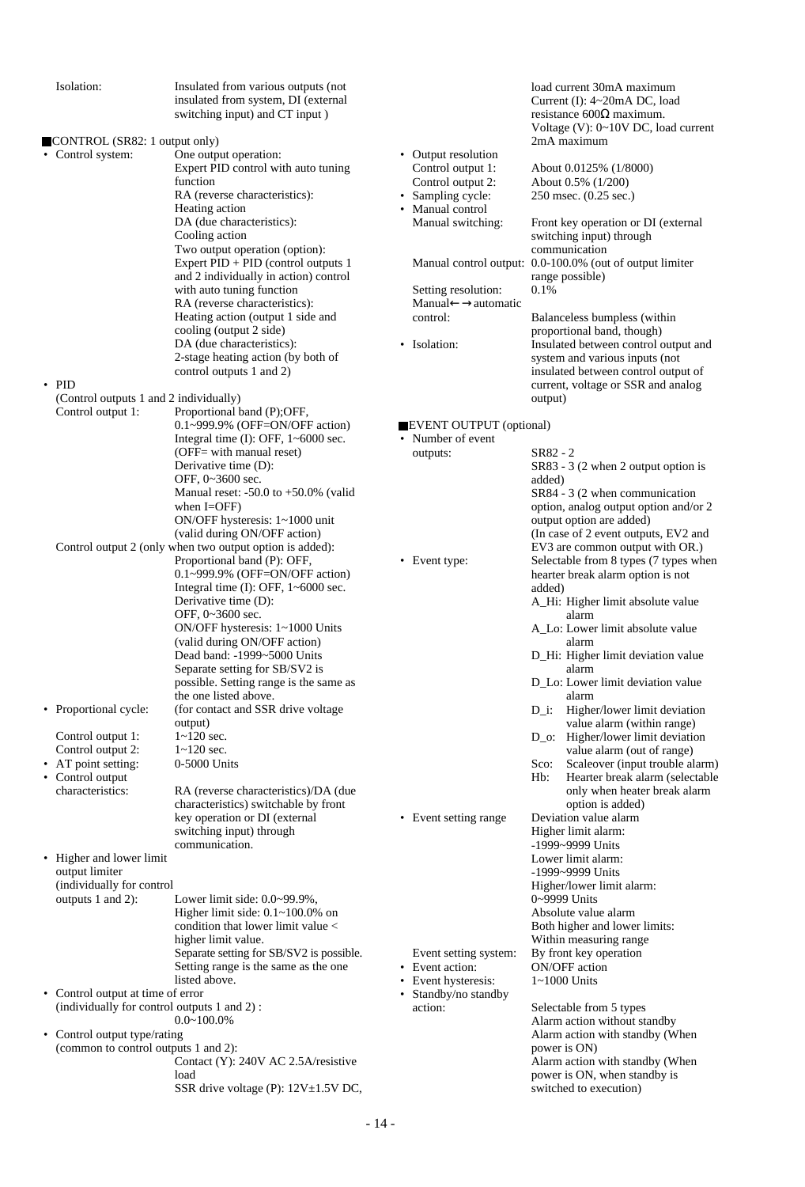| Isolation:                                  | Insulated from various outputs (not<br>insulated from system, DI (external<br>switching input) and CT input) |                         |          | load current 30mA maximum<br>Current (I): 4~20mA DC, load<br>resistance $600\Omega$ maximum.<br>Voltage (V): 0~10V DC, load current |
|---------------------------------------------|--------------------------------------------------------------------------------------------------------------|-------------------------|----------|-------------------------------------------------------------------------------------------------------------------------------------|
| CONTROL (SR82: 1 output only)               |                                                                                                              |                         |          | 2mA maximum                                                                                                                         |
| • Control system:                           | One output operation:                                                                                        | • Output resolution     |          |                                                                                                                                     |
|                                             | Expert PID control with auto tuning                                                                          | Control output 1:       |          | About 0.0125% (1/8000)                                                                                                              |
|                                             | function                                                                                                     |                         |          |                                                                                                                                     |
|                                             |                                                                                                              | Control output 2:       |          | About 0.5% (1/200)                                                                                                                  |
|                                             | RA (reverse characteristics):                                                                                | • Sampling cycle:       |          | 250 msec. (0.25 sec.)                                                                                                               |
|                                             | Heating action                                                                                               | • Manual control        |          |                                                                                                                                     |
|                                             | DA (due characteristics):                                                                                    | Manual switching:       |          | Front key operation or DI (external                                                                                                 |
|                                             | Cooling action                                                                                               |                         |          | switching input) through                                                                                                            |
|                                             | Two output operation (option):                                                                               |                         |          | communication                                                                                                                       |
|                                             | Expert PID + PID (control outputs 1                                                                          |                         |          | Manual control output: 0.0-100.0% (out of output limiter                                                                            |
|                                             | and 2 individually in action) control                                                                        |                         |          | range possible)                                                                                                                     |
|                                             | with auto tuning function                                                                                    | Setting resolution:     | 0.1%     |                                                                                                                                     |
|                                             | RA (reverse characteristics):                                                                                | Manual←→automatic       |          |                                                                                                                                     |
|                                             | Heating action (output 1 side and                                                                            | control:                |          | Balanceless bumpless (within                                                                                                        |
|                                             | cooling (output 2 side)                                                                                      |                         |          | proportional band, though)                                                                                                          |
|                                             | DA (due characteristics):                                                                                    | • Isolation:            |          | Insulated between control output and                                                                                                |
|                                             | 2-stage heating action (by both of                                                                           |                         |          | system and various inputs (not                                                                                                      |
|                                             | control outputs 1 and 2)                                                                                     |                         |          | insulated between control output of                                                                                                 |
| $\cdot$ PID                                 |                                                                                                              |                         |          | current, voltage or SSR and analog                                                                                                  |
| (Control outputs 1 and 2 individually)      |                                                                                                              |                         | output)  |                                                                                                                                     |
| Control output 1:                           | Proportional band (P);OFF,                                                                                   |                         |          |                                                                                                                                     |
|                                             | 0.1~999.9% (OFF=ON/OFF action)                                                                               | EVENT OUTPUT (optional) |          |                                                                                                                                     |
|                                             | Integral time $(I)$ : OFF, $1 \sim 6000$ sec.                                                                | • Number of event       |          |                                                                                                                                     |
|                                             | (OFF= with manual reset)                                                                                     | outputs:                | SR82 - 2 |                                                                                                                                     |
|                                             | Derivative time (D):                                                                                         |                         |          | SR83 - 3 (2 when 2 output option is                                                                                                 |
|                                             | OFF, 0~3600 sec.                                                                                             |                         | added)   |                                                                                                                                     |
|                                             | Manual reset: $-50.0$ to $+50.0\%$ (valid                                                                    |                         |          | SR84 - 3 (2 when communication                                                                                                      |
|                                             | when $I=OFF$ )                                                                                               |                         |          | option, analog output option and/or 2                                                                                               |
|                                             | ON/OFF hysteresis: 1~1000 unit                                                                               |                         |          | output option are added)                                                                                                            |
|                                             | (valid during ON/OFF action)                                                                                 |                         |          | (In case of 2 event outputs, EV2 and                                                                                                |
|                                             | Control output 2 (only when two output option is added):                                                     |                         |          | EV3 are common output with OR.)                                                                                                     |
|                                             | Proportional band (P): OFF,                                                                                  | • Event type:           |          | Selectable from 8 types (7 types when                                                                                               |
|                                             | $0.1 \sim 999.9\%$ (OFF=ON/OFF action)                                                                       |                         |          | hearter break alarm option is not                                                                                                   |
|                                             | Integral time $(I)$ : OFF, $1 \sim 6000$ sec.                                                                |                         | added)   |                                                                                                                                     |
|                                             | Derivative time (D):                                                                                         |                         |          | A_Hi: Higher limit absolute value                                                                                                   |
|                                             | OFF, 0~3600 sec.                                                                                             |                         |          | alarm                                                                                                                               |
|                                             | ON/OFF hysteresis: 1~1000 Units                                                                              |                         |          | A_Lo: Lower limit absolute value                                                                                                    |
|                                             | (valid during ON/OFF action)                                                                                 |                         |          | alarm                                                                                                                               |
|                                             | Dead band: -1999~5000 Units                                                                                  |                         |          | D_Hi: Higher limit deviation value                                                                                                  |
|                                             | Separate setting for SB/SV2 is                                                                               |                         |          | alarm                                                                                                                               |
|                                             | possible. Setting range is the same as                                                                       |                         |          | D_Lo: Lower limit deviation value                                                                                                   |
|                                             | the one listed above.                                                                                        |                         |          | alarm                                                                                                                               |
| • Proportional cycle:                       | (for contact and SSR drive voltage)                                                                          |                         | $D_i$ :  | Higher/lower limit deviation                                                                                                        |
|                                             | output)                                                                                                      |                         |          | value alarm (within range)                                                                                                          |
| Control output 1:                           | $1 - 120$ sec.                                                                                               |                         |          | D_o: Higher/lower limit deviation                                                                                                   |
| Control output 2:                           | $1 - 120$ sec.                                                                                               |                         |          | value alarm (out of range)                                                                                                          |
| • AT point setting:                         | 0-5000 Units                                                                                                 |                         | Sco:     | Scaleover (input trouble alarm)                                                                                                     |
| • Control output                            |                                                                                                              |                         | Hb:      | Hearter break alarm (selectable                                                                                                     |
| characteristics:                            | RA (reverse characteristics)/DA (due                                                                         |                         |          | only when heater break alarm                                                                                                        |
|                                             | characteristics) switchable by front                                                                         |                         |          | option is added)                                                                                                                    |
|                                             | key operation or DI (external                                                                                | • Event setting range   |          | Deviation value alarm                                                                                                               |
|                                             | switching input) through                                                                                     |                         |          | Higher limit alarm:                                                                                                                 |
|                                             | communication.                                                                                               |                         |          | -1999~9999 Units                                                                                                                    |
| • Higher and lower limit                    |                                                                                                              |                         |          | Lower limit alarm:                                                                                                                  |
| output limiter                              |                                                                                                              |                         |          | -1999~9999 Units                                                                                                                    |
| (individually for control                   |                                                                                                              |                         |          | Higher/lower limit alarm:                                                                                                           |
| outputs 1 and 2):                           | Lower limit side: 0.0~99.9%,                                                                                 |                         |          | 0~9999 Units                                                                                                                        |
|                                             | Higher limit side: $0.1 \sim 100.0\%$ on                                                                     |                         |          | Absolute value alarm                                                                                                                |
|                                             | condition that lower limit value <                                                                           |                         |          | Both higher and lower limits:                                                                                                       |
|                                             | higher limit value.                                                                                          |                         |          | Within measuring range                                                                                                              |
|                                             | Separate setting for SB/SV2 is possible.                                                                     | Event setting system:   |          | By front key operation                                                                                                              |
|                                             | Setting range is the same as the one                                                                         | • Event action:         |          | ON/OFF action                                                                                                                       |
|                                             | listed above.                                                                                                | • Event hysteresis:     |          | $1~1000$ Units                                                                                                                      |
| • Control output at time of error           |                                                                                                              | • Standby/no standby    |          |                                                                                                                                     |
| (individually for control outputs 1 and 2): |                                                                                                              | action:                 |          | Selectable from 5 types                                                                                                             |
|                                             | $0.0 - 100.0\%$                                                                                              |                         |          | Alarm action without standby                                                                                                        |
| • Control output type/rating                |                                                                                                              |                         |          | Alarm action with standby (When                                                                                                     |
| (common to control outputs 1 and 2):        |                                                                                                              |                         |          | power is ON)                                                                                                                        |
|                                             | Contact (Y): 240V AC 2.5A/resistive                                                                          |                         |          | Alarm action with standby (When                                                                                                     |
|                                             | load                                                                                                         |                         |          | power is ON, when standby is                                                                                                        |
|                                             | SSR drive voltage (P): 12V±1.5V DC,                                                                          |                         |          | switched to execution)                                                                                                              |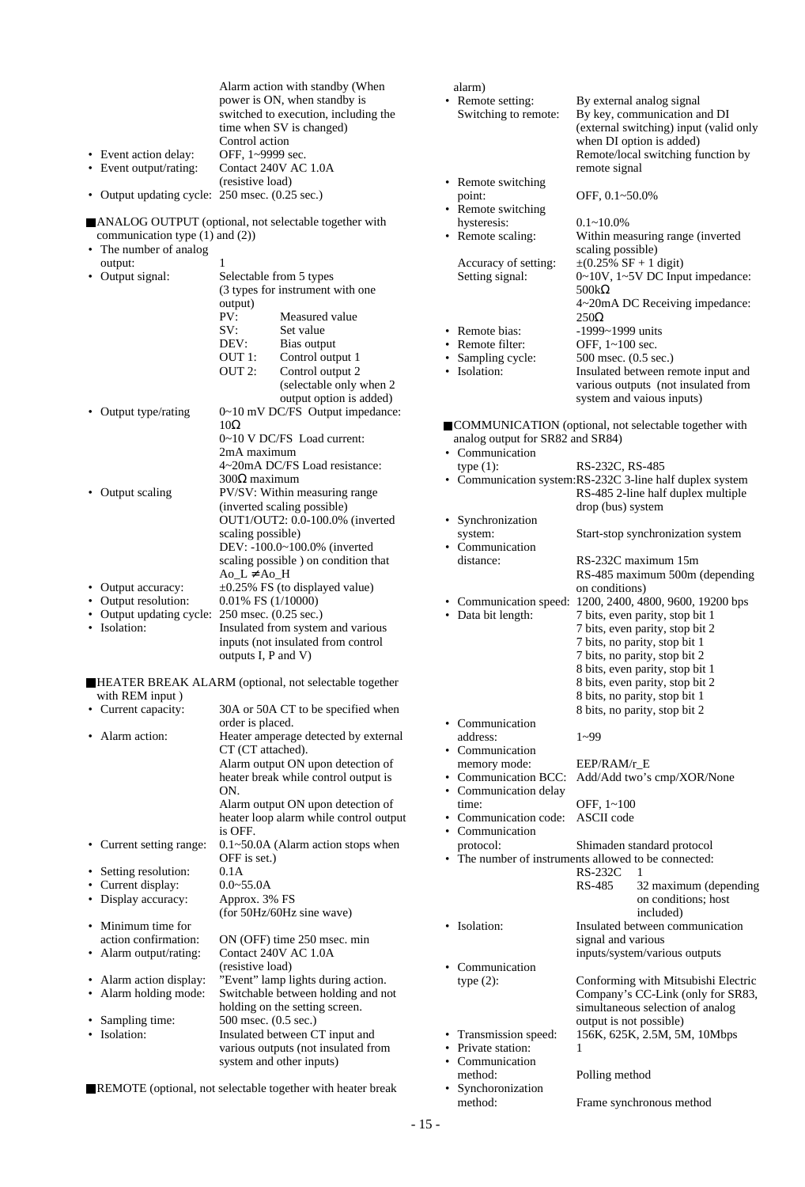|                                                              |                      | Alarm action with standby (When                                         | alarm)                                                   |                                             |                                                                  |
|--------------------------------------------------------------|----------------------|-------------------------------------------------------------------------|----------------------------------------------------------|---------------------------------------------|------------------------------------------------------------------|
|                                                              |                      | power is ON, when standby is                                            | • Remote setting:                                        |                                             | By external analog signal                                        |
|                                                              |                      | switched to execution, including the                                    | Switching to remote:                                     |                                             | By key, communication and DI                                     |
|                                                              |                      | time when SV is changed)                                                |                                                          |                                             | (external switching) input (valid only                           |
|                                                              | Control action       |                                                                         |                                                          |                                             | when DI option is added)                                         |
| • Event action delay:                                        | OFF, 1~9999 sec.     |                                                                         |                                                          |                                             | Remote/local switching function by                               |
| • Event output/rating:                                       |                      | Contact 240V AC 1.0A                                                    |                                                          | remote signal                               |                                                                  |
|                                                              | (resistive load)     |                                                                         | • Remote switching                                       |                                             |                                                                  |
| • Output updating cycle: 250 msec. (0.25 sec.)               |                      |                                                                         | point:<br>• Remote switching                             | OFF, 0.1~50.0%                              |                                                                  |
| ANALOG OUTPUT (optional, not selectable together with        |                      |                                                                         | hysteresis:                                              | $0.1 - 10.0\%$                              |                                                                  |
| communication type $(1)$ and $(2)$ )                         |                      |                                                                         | • Remote scaling:                                        |                                             | Within measuring range (inverted                                 |
| • The number of analog                                       |                      |                                                                         |                                                          | scaling possible)                           |                                                                  |
| output:                                                      |                      |                                                                         | Accuracy of setting:                                     | $\pm (0.25\% \text{ SF} + 1 \text{ digit})$ |                                                                  |
| • Output signal:                                             |                      | Selectable from 5 types                                                 | Setting signal:                                          |                                             | 0~10V, 1~5V DC Input impedance:                                  |
|                                                              |                      | (3 types for instrument with one                                        |                                                          | 500kΩ                                       |                                                                  |
|                                                              | output)              |                                                                         |                                                          |                                             | 4~20mA DC Receiving impedance:                                   |
|                                                              | PV:                  | Measured value                                                          |                                                          | $250\Omega$                                 |                                                                  |
|                                                              | SV:                  | Set value                                                               | • Remote bias:                                           | -1999~1999 units                            |                                                                  |
|                                                              | DEV:                 | Bias output                                                             | • Remote filter:                                         | OFF, 1~100 sec.                             |                                                                  |
|                                                              | OUT 1:               | Control output 1                                                        | • Sampling cycle:                                        | 500 msec. (0.5 sec.)                        |                                                                  |
|                                                              | OUT 2:               | Control output 2                                                        | • Isolation:                                             |                                             | Insulated between remote input and                               |
|                                                              |                      | (selectable only when 2<br>output option is added)                      |                                                          |                                             | various outputs (not insulated from                              |
| • Output type/rating                                         |                      | 0~10 mV DC/FS Output impedance:                                         |                                                          |                                             | system and vaious inputs)                                        |
|                                                              | $10\Omega$           |                                                                         | COMMUNICATION (optional, not selectable together with    |                                             |                                                                  |
|                                                              |                      | 0~10 V DC/FS Load current:                                              | analog output for SR82 and SR84)                         |                                             |                                                                  |
|                                                              | 2mA maximum          |                                                                         | • Communication                                          |                                             |                                                                  |
|                                                              |                      | 4~20mA DC/FS Load resistance:                                           | type $(1)$ :                                             | RS-232C, RS-485                             |                                                                  |
|                                                              | $300\Omega$ maximum  |                                                                         | • Communication system:RS-232C 3-line half duplex system |                                             |                                                                  |
| • Output scaling                                             |                      | PV/SV: Within measuring range                                           |                                                          |                                             | RS-485 2-line half duplex multiple                               |
|                                                              |                      | (inverted scaling possible)                                             |                                                          | drop (bus) system                           |                                                                  |
|                                                              |                      | OUT1/OUT2: 0.0-100.0% (inverted                                         | • Synchronization                                        |                                             |                                                                  |
|                                                              | scaling possible)    |                                                                         | system:                                                  |                                             | Start-stop synchronization system                                |
|                                                              |                      | DEV: -100.0~100.0% (inverted                                            | • Communication                                          |                                             |                                                                  |
|                                                              |                      | scaling possible ) on condition that                                    | distance:                                                |                                             | RS-232C maximum 15m                                              |
|                                                              | $Ao_L \neq Ao_H$     |                                                                         |                                                          |                                             | RS-485 maximum 500m (depending                                   |
| • Output accuracy:                                           |                      | $\pm 0.25\%$ FS (to displayed value)                                    |                                                          | on conditions)                              |                                                                  |
| • Output resolution:                                         | 0.01% FS (1/10000)   |                                                                         | • Communication speed: 1200, 2400, 4800, 9600, 19200 bps |                                             |                                                                  |
| Output updating cycle: 250 msec. (0.25 sec.)<br>• Isolation: |                      |                                                                         | • Data bit length:                                       |                                             | 7 bits, even parity, stop bit 1                                  |
|                                                              |                      | Insulated from system and various<br>inputs (not insulated from control |                                                          |                                             | 7 bits, even parity, stop bit 2<br>7 bits, no parity, stop bit 1 |
|                                                              | outputs I, P and V)  |                                                                         |                                                          |                                             | 7 bits, no parity, stop bit 2                                    |
|                                                              |                      |                                                                         |                                                          |                                             | 8 bits, even parity, stop bit 1                                  |
|                                                              |                      | HEATER BREAK ALARM (optional, not selectable together                   |                                                          |                                             | 8 bits, even parity, stop bit 2                                  |
| with REM input)                                              |                      |                                                                         |                                                          |                                             | 8 bits, no parity, stop bit 1                                    |
| • Current capacity:                                          |                      | 30A or 50A CT to be specified when                                      |                                                          |                                             | 8 bits, no parity, stop bit 2                                    |
|                                                              | order is placed.     |                                                                         | • Communication                                          |                                             |                                                                  |
| • Alarm action:                                              |                      | Heater amperage detected by external                                    | address:                                                 | $1 - 99$                                    |                                                                  |
|                                                              | CT (CT attached).    |                                                                         | • Communication                                          |                                             |                                                                  |
|                                                              |                      | Alarm output ON upon detection of                                       | memory mode:                                             | EEP/RAM/r_E                                 |                                                                  |
|                                                              |                      | heater break while control output is                                    | • Communication BCC:                                     |                                             | Add/Add two's cmp/XOR/None                                       |
|                                                              | ON.                  |                                                                         | • Communication delay                                    |                                             |                                                                  |
|                                                              |                      | Alarm output ON upon detection of                                       | time:                                                    | OFF, 1~100                                  |                                                                  |
|                                                              | is OFF.              | heater loop alarm while control output                                  | • Communication code:<br>• Communication                 | <b>ASCII</b> code                           |                                                                  |
| • Current setting range:                                     |                      | $0.1 \sim 50.0$ A (Alarm action stops when                              | protocol:                                                |                                             | Shimaden standard protocol                                       |
|                                                              | OFF is set.)         |                                                                         | • The number of instruments allowed to be connected:     |                                             |                                                                  |
| • Setting resolution:                                        | 0.1A                 |                                                                         |                                                          | $RS-232C$                                   | 1                                                                |
| • Current display:                                           | $0.0 - 55.0A$        |                                                                         |                                                          | RS-485                                      | 32 maximum (depending                                            |
| • Display accuracy:                                          | Approx. 3% FS        |                                                                         |                                                          |                                             | on conditions; host                                              |
|                                                              |                      | (for 50Hz/60Hz sine wave)                                               |                                                          |                                             | included)                                                        |
| • Minimum time for                                           |                      |                                                                         | • Isolation:                                             |                                             | Insulated between communication                                  |
| action confirmation:                                         |                      | ON (OFF) time 250 msec. min                                             |                                                          | signal and various                          |                                                                  |
| • Alarm output/rating:                                       |                      | Contact 240V AC 1.0A                                                    |                                                          |                                             | inputs/system/various outputs                                    |
|                                                              | (resistive load)     |                                                                         | • Communication                                          |                                             |                                                                  |
| • Alarm action display:                                      |                      | "Event" lamp lights during action.                                      | type $(2)$ :                                             |                                             | Conforming with Mitsubishi Electric                              |
| • Alarm holding mode:                                        |                      | Switchable between holding and not                                      |                                                          |                                             | Company's CC-Link (only for SR83,                                |
|                                                              |                      | holding on the setting screen.                                          |                                                          |                                             | simultaneous selection of analog                                 |
| • Sampling time:<br>• Isolation:                             | 500 msec. (0.5 sec.) |                                                                         |                                                          | output is not possible)                     |                                                                  |
|                                                              |                      | Insulated between CT input and<br>various outputs (not insulated from   | • Transmission speed:<br>• Private station:              | 1                                           | 156K, 625K, 2.5M, 5M, 10Mbps                                     |
|                                                              |                      | system and other inputs)                                                | • Communication                                          |                                             |                                                                  |
|                                                              |                      |                                                                         | method:                                                  | Polling method                              |                                                                  |
| REMOTE (optional, not selectable together with heater break  |                      |                                                                         | • Synchoronization                                       |                                             |                                                                  |

REMOTE (optional, not selectable together with heater break

Frame synchronous method